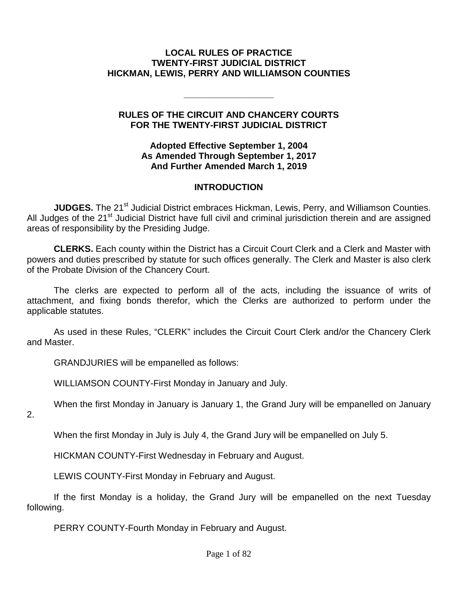#### **LOCAL RULES OF PRACTICE TWENTY-FIRST JUDICIAL DISTRICT HICKMAN, LEWIS, PERRY AND WILLIAMSON COUNTIES**

#### **RULES OF THE CIRCUIT AND CHANCERY COURTS FOR THE TWENTY-FIRST JUDICIAL DISTRICT**

**\_\_\_\_\_\_\_\_\_\_\_\_\_\_\_\_\_\_** 

#### **Adopted Effective September 1, 2004 As Amended Through September 1, 2017 And Further Amended March 1, 2019**

#### **INTRODUCTION**

**JUDGES.** The 21<sup>st</sup> Judicial District embraces Hickman, Lewis, Perry, and Williamson Counties. All Judges of the 21<sup>st</sup> Judicial District have full civil and criminal jurisdiction therein and are assigned areas of responsibility by the Presiding Judge.

**CLERKS.** Each county within the District has a Circuit Court Clerk and a Clerk and Master with powers and duties prescribed by statute for such offices generally. The Clerk and Master is also clerk of the Probate Division of the Chancery Court.

 The clerks are expected to perform all of the acts, including the issuance of writs of attachment, and fixing bonds therefor, which the Clerks are authorized to perform under the applicable statutes.

 As used in these Rules, "CLERK" includes the Circuit Court Clerk and/or the Chancery Clerk and Master.

GRANDJURIES will be empanelled as follows:

WILLIAMSON COUNTY-First Monday in January and July.

When the first Monday in January is January 1, the Grand Jury will be empanelled on January

2.

When the first Monday in July is July 4, the Grand Jury will be empanelled on July 5.

HICKMAN COUNTY-First Wednesday in February and August.

LEWIS COUNTY-First Monday in February and August.

 If the first Monday is a holiday, the Grand Jury will be empanelled on the next Tuesday following.

PERRY COUNTY-Fourth Monday in February and August.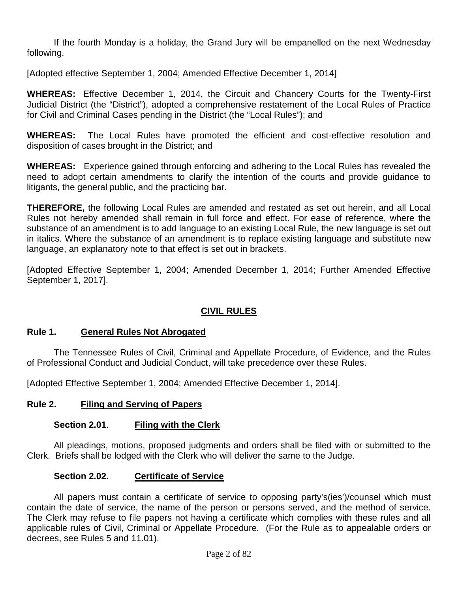If the fourth Monday is a holiday, the Grand Jury will be empanelled on the next Wednesday following.

[Adopted effective September 1, 2004; Amended Effective December 1, 2014]

**WHEREAS:** Effective December 1, 2014, the Circuit and Chancery Courts for the Twenty-First Judicial District (the "District"), adopted a comprehensive restatement of the Local Rules of Practice for Civil and Criminal Cases pending in the District (the "Local Rules"); and

**WHEREAS:** The Local Rules have promoted the efficient and cost-effective resolution and disposition of cases brought in the District; and

**WHEREAS:** Experience gained through enforcing and adhering to the Local Rules has revealed the need to adopt certain amendments to clarify the intention of the courts and provide guidance to litigants, the general public, and the practicing bar.

**THEREFORE,** the following Local Rules are amended and restated as set out herein, and all Local Rules not hereby amended shall remain in full force and effect. For ease of reference, where the substance of an amendment is to add language to an existing Local Rule, the new language is set out in italics. Where the substance of an amendment is to replace existing language and substitute new language, an explanatory note to that effect is set out in brackets.

[Adopted Effective September 1, 2004; Amended December 1, 2014; Further Amended Effective September 1, 2017].

## **CIVIL RULES**

## **Rule 1. General Rules Not Abrogated**

The Tennessee Rules of Civil, Criminal and Appellate Procedure, of Evidence, and the Rules of Professional Conduct and Judicial Conduct, will take precedence over these Rules.

[Adopted Effective September 1, 2004; Amended Effective December 1, 2014].

## **Rule 2. Filing and Serving of Papers**

#### **Section 2.01**. **Filing with the Clerk**

All pleadings, motions, proposed judgments and orders shall be filed with or submitted to the Clerk. Briefs shall be lodged with the Clerk who will deliver the same to the Judge.

#### **Section 2.02. Certificate of Service**

All papers must contain a certificate of service to opposing party's(ies')/counsel which must contain the date of service, the name of the person or persons served, and the method of service. The Clerk may refuse to file papers not having a certificate which complies with these rules and all applicable rules of Civil, Criminal or Appellate Procedure. (For the Rule as to appealable orders or decrees, see Rules 5 and 11.01).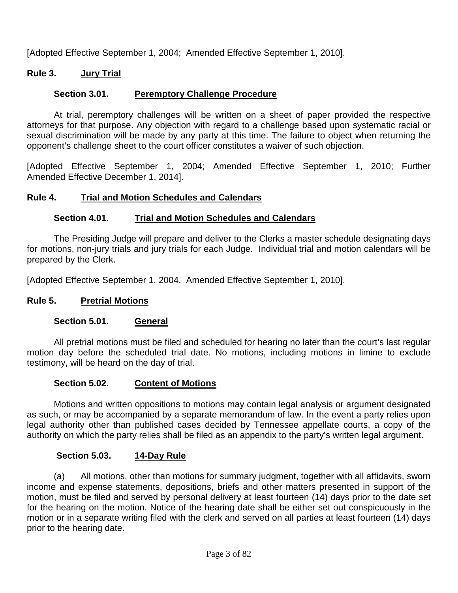[Adopted Effective September 1, 2004; Amended Effective September 1, 2010].

## **Rule 3. Jury Trial**

## **Section 3.01. Peremptory Challenge Procedure**

At trial, peremptory challenges will be written on a sheet of paper provided the respective attorneys for that purpose. Any objection with regard to a challenge based upon systematic racial or sexual discrimination will be made by any party at this time. The failure to object when returning the opponent's challenge sheet to the court officer constitutes a waiver of such objection.

[Adopted Effective September 1, 2004; Amended Effective September 1, 2010; Further Amended Effective December 1, 2014].

## **Rule 4. Trial and Motion Schedules and Calendars**

#### **Section 4.01**. **Trial and Motion Schedules and Calendars**

The Presiding Judge will prepare and deliver to the Clerks a master schedule designating days for motions, non-jury trials and jury trials for each Judge. Individual trial and motion calendars will be prepared by the Clerk.

[Adopted Effective September 1, 2004. Amended Effective September 1, 2010].

#### **Rule 5. Pretrial Motions**

#### **Section 5.01. General**

All pretrial motions must be filed and scheduled for hearing no later than the court's last regular motion day before the scheduled trial date. No motions, including motions in limine to exclude testimony, will be heard on the day of trial.

## **Section 5.02. Content of Motions**

Motions and written oppositions to motions may contain legal analysis or argument designated as such, or may be accompanied by a separate memorandum of law. In the event a party relies upon legal authority other than published cases decided by Tennessee appellate courts, a copy of the authority on which the party relies shall be filed as an appendix to the party's written legal argument.

#### **Section 5.03. 14-Day Rule**

(a) All motions, other than motions for summary judgment, together with all affidavits, sworn income and expense statements, depositions, briefs and other matters presented in support of the motion, must be filed and served by personal delivery at least fourteen (14) days prior to the date set for the hearing on the motion. Notice of the hearing date shall be either set out conspicuously in the motion or in a separate writing filed with the clerk and served on all parties at least fourteen (14) days prior to the hearing date.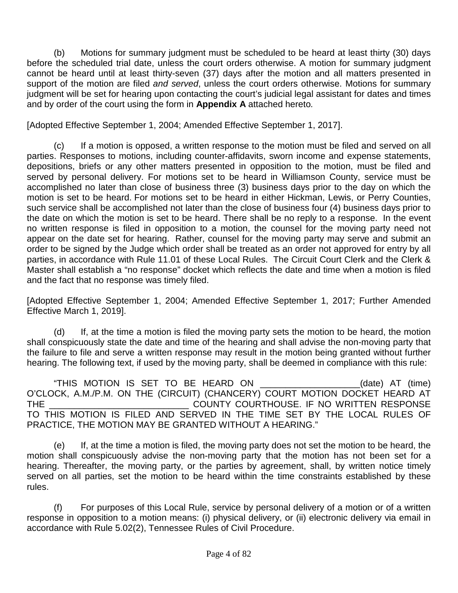(b) Motions for summary judgment must be scheduled to be heard at least thirty (30) days before the scheduled trial date, unless the court orders otherwise. A motion for summary judgment cannot be heard until at least thirty-seven (37) days after the motion and all matters presented in support of the motion are filed and served, unless the court orders otherwise. Motions for summary judgment will be set for hearing upon contacting the court's judicial legal assistant for dates and times and by order of the court using the form in **Appendix A** attached hereto.

[Adopted Effective September 1, 2004; Amended Effective September 1, 2017].

 (c) If a motion is opposed, a written response to the motion must be filed and served on all parties. Responses to motions, including counter-affidavits, sworn income and expense statements, depositions, briefs or any other matters presented in opposition to the motion, must be filed and served by personal delivery. For motions set to be heard in Williamson County, service must be accomplished no later than close of business three (3) business days prior to the day on which the motion is set to be heard. For motions set to be heard in either Hickman, Lewis, or Perry Counties, such service shall be accomplished not later than the close of business four (4) business days prior to the date on which the motion is set to be heard. There shall be no reply to a response. In the event no written response is filed in opposition to a motion, the counsel for the moving party need not appear on the date set for hearing. Rather, counsel for the moving party may serve and submit an order to be signed by the Judge which order shall be treated as an order not approved for entry by all parties, in accordance with Rule 11.01 of these Local Rules. The Circuit Court Clerk and the Clerk & Master shall establish a "no response" docket which reflects the date and time when a motion is filed and the fact that no response was timely filed.

[Adopted Effective September 1, 2004; Amended Effective September 1, 2017; Further Amended Effective March 1, 2019].

 (d) If, at the time a motion is filed the moving party sets the motion to be heard, the motion shall conspicuously state the date and time of the hearing and shall advise the non-moving party that the failure to file and serve a written response may result in the motion being granted without further hearing. The following text, if used by the moving party, shall be deemed in compliance with this rule:

 "THIS MOTION IS SET TO BE HEARD ON \_\_\_\_\_\_\_\_\_\_\_\_\_\_\_\_\_\_\_\_(date) AT (time) O'CLOCK, A.M./P.M. ON THE (CIRCUIT) (CHANCERY) COURT MOTION DOCKET HEARD AT THE THE COUNTY COURTHOUSE. IF NO WRITTEN RESPONSE TO THIS MOTION IS FILED AND SERVED IN THE TIME SET BY THE LOCAL RULES OF PRACTICE, THE MOTION MAY BE GRANTED WITHOUT A HEARING."

 (e) If, at the time a motion is filed, the moving party does not set the motion to be heard, the motion shall conspicuously advise the non-moving party that the motion has not been set for a hearing. Thereafter, the moving party, or the parties by agreement, shall, by written notice timely served on all parties, set the motion to be heard within the time constraints established by these rules.

 (f) For purposes of this Local Rule, service by personal delivery of a motion or of a written response in opposition to a motion means: (i) physical delivery, or (ii) electronic delivery via email in accordance with Rule 5.02(2), Tennessee Rules of Civil Procedure.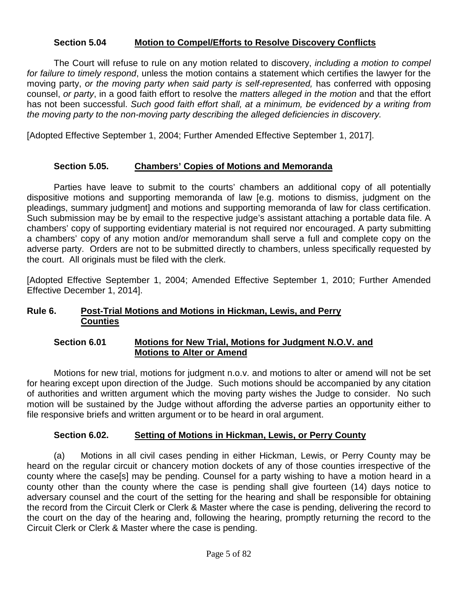#### **Section 5.04 Motion to Compel/Efforts to Resolve Discovery Conflicts**

The Court will refuse to rule on any motion related to discovery, *including a motion to compel* for failure to timely respond, unless the motion contains a statement which certifies the lawyer for the moving party, or the moving party when said party is self-represented, has conferred with opposing counsel, or party, in a good faith effort to resolve the matters alleged in the motion and that the effort has not been successful. Such good faith effort shall, at a minimum, be evidenced by a writing from the moving party to the non-moving party describing the alleged deficiencies in discovery.

[Adopted Effective September 1, 2004; Further Amended Effective September 1, 2017].

#### **Section 5.05. Chambers' Copies of Motions and Memoranda**

 Parties have leave to submit to the courts' chambers an additional copy of all potentially dispositive motions and supporting memoranda of law [e.g. motions to dismiss, judgment on the pleadings, summary judgment] and motions and supporting memoranda of law for class certification. Such submission may be by email to the respective judge's assistant attaching a portable data file. A chambers' copy of supporting evidentiary material is not required nor encouraged. A party submitting a chambers' copy of any motion and/or memorandum shall serve a full and complete copy on the adverse party. Orders are not to be submitted directly to chambers, unless specifically requested by the court. All originals must be filed with the clerk.

[Adopted Effective September 1, 2004; Amended Effective September 1, 2010; Further Amended Effective December 1, 2014].

#### **Rule 6. Post-Trial Motions and Motions in Hickman, Lewis, and Perry Counties**

#### **Section 6.01 Motions for New Trial, Motions for Judgment N.O.V. and Motions to Alter or Amend**

Motions for new trial, motions for judgment n.o.v. and motions to alter or amend will not be set for hearing except upon direction of the Judge. Such motions should be accompanied by any citation of authorities and written argument which the moving party wishes the Judge to consider. No such motion will be sustained by the Judge without affording the adverse parties an opportunity either to file responsive briefs and written argument or to be heard in oral argument.

#### **Section 6.02. Setting of Motions in Hickman, Lewis, or Perry County**

 (a) Motions in all civil cases pending in either Hickman, Lewis, or Perry County may be heard on the regular circuit or chancery motion dockets of any of those counties irrespective of the county where the case[s] may be pending. Counsel for a party wishing to have a motion heard in a county other than the county where the case is pending shall give fourteen (14) days notice to adversary counsel and the court of the setting for the hearing and shall be responsible for obtaining the record from the Circuit Clerk or Clerk & Master where the case is pending, delivering the record to the court on the day of the hearing and, following the hearing, promptly returning the record to the Circuit Clerk or Clerk & Master where the case is pending.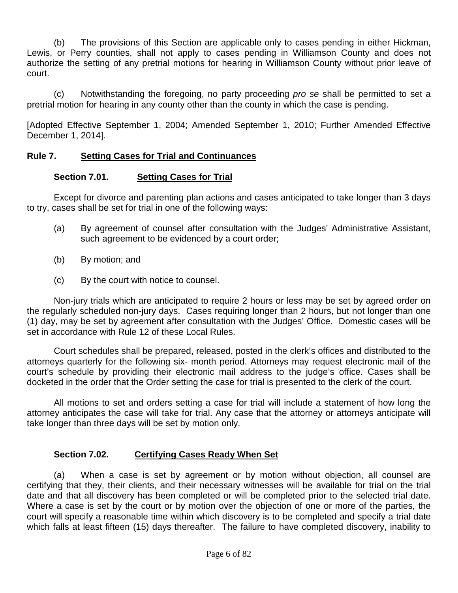(b) The provisions of this Section are applicable only to cases pending in either Hickman, Lewis, or Perry counties, shall not apply to cases pending in Williamson County and does not authorize the setting of any pretrial motions for hearing in Williamson County without prior leave of court.

 (c) Notwithstanding the foregoing, no party proceeding pro se shall be permitted to set a pretrial motion for hearing in any county other than the county in which the case is pending.

[Adopted Effective September 1, 2004; Amended September 1, 2010; Further Amended Effective December 1, 2014].

## **Rule 7. Setting Cases for Trial and Continuances**

## **Section 7.01. Setting Cases for Trial**

Except for divorce and parenting plan actions and cases anticipated to take longer than 3 days to try, cases shall be set for trial in one of the following ways:

- (a) By agreement of counsel after consultation with the Judges' Administrative Assistant, such agreement to be evidenced by a court order;
- (b) By motion; and
- (c) By the court with notice to counsel.

Non-jury trials which are anticipated to require 2 hours or less may be set by agreed order on the regularly scheduled non-jury days. Cases requiring longer than 2 hours, but not longer than one (1) day, may be set by agreement after consultation with the Judges' Office. Domestic cases will be set in accordance with Rule 12 of these Local Rules.

 Court schedules shall be prepared, released, posted in the clerk's offices and distributed to the attorneys quarterly for the following six- month period. Attorneys may request electronic mail of the court's schedule by providing their electronic mail address to the judge's office. Cases shall be docketed in the order that the Order setting the case for trial is presented to the clerk of the court.

 All motions to set and orders setting a case for trial will include a statement of how long the attorney anticipates the case will take for trial. Any case that the attorney or attorneys anticipate will take longer than three days will be set by motion only.

## **Section 7.02. Certifying Cases Ready When Set**

(a) When a case is set by agreement or by motion without objection, all counsel are certifying that they, their clients, and their necessary witnesses will be available for trial on the trial date and that all discovery has been completed or will be completed prior to the selected trial date. Where a case is set by the court or by motion over the objection of one or more of the parties, the court will specify a reasonable time within which discovery is to be completed and specify a trial date which falls at least fifteen (15) days thereafter. The failure to have completed discovery, inability to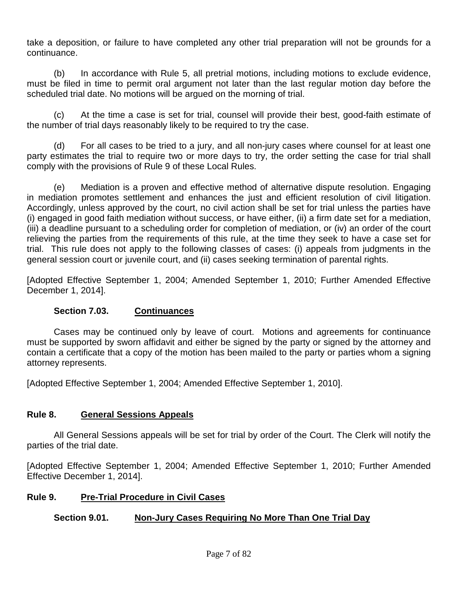take a deposition, or failure to have completed any other trial preparation will not be grounds for a continuance.

 (b) In accordance with Rule 5, all pretrial motions, including motions to exclude evidence, must be filed in time to permit oral argument not later than the last regular motion day before the scheduled trial date. No motions will be argued on the morning of trial.

 (c) At the time a case is set for trial, counsel will provide their best, good-faith estimate of the number of trial days reasonably likely to be required to try the case.

 (d) For all cases to be tried to a jury, and all non-jury cases where counsel for at least one party estimates the trial to require two or more days to try, the order setting the case for trial shall comply with the provisions of Rule 9 of these Local Rules.

 (e) Mediation is a proven and effective method of alternative dispute resolution. Engaging in mediation promotes settlement and enhances the just and efficient resolution of civil litigation. Accordingly, unless approved by the court, no civil action shall be set for trial unless the parties have (i) engaged in good faith mediation without success, or have either, (ii) a firm date set for a mediation, (iii) a deadline pursuant to a scheduling order for completion of mediation, or (iv) an order of the court relieving the parties from the requirements of this rule, at the time they seek to have a case set for trial. This rule does not apply to the following classes of cases: (i) appeals from judgments in the general session court or juvenile court, and (ii) cases seeking termination of parental rights.

[Adopted Effective September 1, 2004; Amended September 1, 2010; Further Amended Effective December 1, 2014].

## **Section 7.03. Continuances**

Cases may be continued only by leave of court. Motions and agreements for continuance must be supported by sworn affidavit and either be signed by the party or signed by the attorney and contain a certificate that a copy of the motion has been mailed to the party or parties whom a signing attorney represents.

[Adopted Effective September 1, 2004; Amended Effective September 1, 2010].

## **Rule 8. General Sessions Appeals**

 All General Sessions appeals will be set for trial by order of the Court. The Clerk will notify the parties of the trial date.

[Adopted Effective September 1, 2004; Amended Effective September 1, 2010; Further Amended Effective December 1, 2014].

## **Rule 9. Pre-Trial Procedure in Civil Cases**

## **Section 9.01. Non-Jury Cases Requiring No More Than One Trial Day**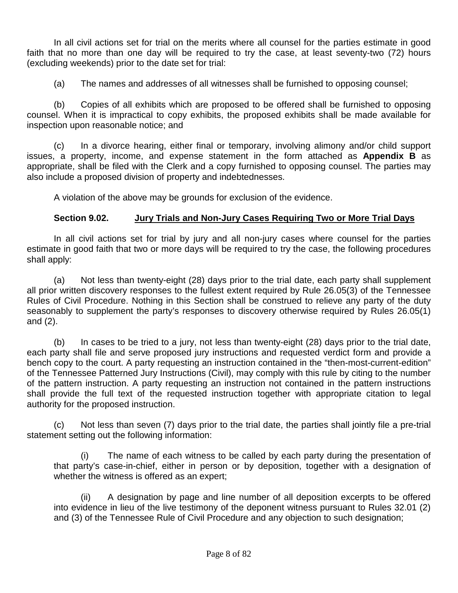In all civil actions set for trial on the merits where all counsel for the parties estimate in good faith that no more than one day will be required to try the case, at least seventy-two (72) hours (excluding weekends) prior to the date set for trial:

(a) The names and addresses of all witnesses shall be furnished to opposing counsel;

 (b) Copies of all exhibits which are proposed to be offered shall be furnished to opposing counsel. When it is impractical to copy exhibits, the proposed exhibits shall be made available for inspection upon reasonable notice; and

 (c) In a divorce hearing, either final or temporary, involving alimony and/or child support issues, a property, income, and expense statement in the form attached as **Appendix B** as appropriate, shall be filed with the Clerk and a copy furnished to opposing counsel. The parties may also include a proposed division of property and indebtednesses.

A violation of the above may be grounds for exclusion of the evidence.

## **Section 9.02. Jury Trials and Non-Jury Cases Requiring Two or More Trial Days**

In all civil actions set for trial by jury and all non-jury cases where counsel for the parties estimate in good faith that two or more days will be required to try the case, the following procedures shall apply:

 (a) Not less than twenty-eight (28) days prior to the trial date, each party shall supplement all prior written discovery responses to the fullest extent required by Rule 26.05(3) of the Tennessee Rules of Civil Procedure. Nothing in this Section shall be construed to relieve any party of the duty seasonably to supplement the party's responses to discovery otherwise required by Rules 26.05(1) and (2).

 (b) In cases to be tried to a jury, not less than twenty-eight (28) days prior to the trial date, each party shall file and serve proposed jury instructions and requested verdict form and provide a bench copy to the court. A party requesting an instruction contained in the "then-most-current-edition" of the Tennessee Patterned Jury Instructions (Civil), may comply with this rule by citing to the number of the pattern instruction. A party requesting an instruction not contained in the pattern instructions shall provide the full text of the requested instruction together with appropriate citation to legal authority for the proposed instruction.

 (c) Not less than seven (7) days prior to the trial date, the parties shall jointly file a pre-trial statement setting out the following information:

(i) The name of each witness to be called by each party during the presentation of that party's case-in-chief, either in person or by deposition, together with a designation of whether the witness is offered as an expert;

(ii) A designation by page and line number of all deposition excerpts to be offered into evidence in lieu of the live testimony of the deponent witness pursuant to Rules 32.01 (2) and (3) of the Tennessee Rule of Civil Procedure and any objection to such designation;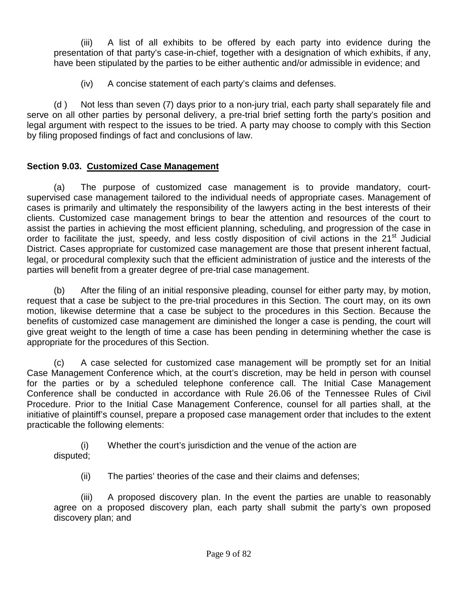(iii) A list of all exhibits to be offered by each party into evidence during the presentation of that party's case-in-chief, together with a designation of which exhibits, if any, have been stipulated by the parties to be either authentic and/or admissible in evidence; and

(iv) A concise statement of each party's claims and defenses.

 (d ) Not less than seven (7) days prior to a non-jury trial, each party shall separately file and serve on all other parties by personal delivery, a pre-trial brief setting forth the party's position and legal argument with respect to the issues to be tried. A party may choose to comply with this Section by filing proposed findings of fact and conclusions of law.

## **Section 9.03. Customized Case Management**

(a) The purpose of customized case management is to provide mandatory, courtsupervised case management tailored to the individual needs of appropriate cases. Management of cases is primarily and ultimately the responsibility of the lawyers acting in the best interests of their clients. Customized case management brings to bear the attention and resources of the court to assist the parties in achieving the most efficient planning, scheduling, and progression of the case in order to facilitate the just, speedy, and less costly disposition of civil actions in the 21<sup>st</sup> Judicial District. Cases appropriate for customized case management are those that present inherent factual, legal, or procedural complexity such that the efficient administration of justice and the interests of the parties will benefit from a greater degree of pre-trial case management.

 (b) After the filing of an initial responsive pleading, counsel for either party may, by motion, request that a case be subject to the pre-trial procedures in this Section. The court may, on its own motion, likewise determine that a case be subject to the procedures in this Section. Because the benefits of customized case management are diminished the longer a case is pending, the court will give great weight to the length of time a case has been pending in determining whether the case is appropriate for the procedures of this Section.

 (c) A case selected for customized case management will be promptly set for an Initial Case Management Conference which, at the court's discretion, may be held in person with counsel for the parties or by a scheduled telephone conference call. The Initial Case Management Conference shall be conducted in accordance with Rule 26.06 of the Tennessee Rules of Civil Procedure. Prior to the Initial Case Management Conference, counsel for all parties shall, at the initiative of plaintiff's counsel, prepare a proposed case management order that includes to the extent practicable the following elements:

(i) Whether the court's jurisdiction and the venue of the action are disputed;

(ii) The parties' theories of the case and their claims and defenses;

(iii) A proposed discovery plan. In the event the parties are unable to reasonably agree on a proposed discovery plan, each party shall submit the party's own proposed discovery plan; and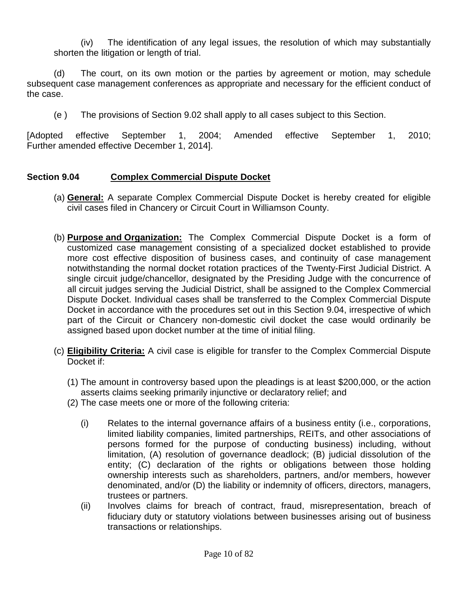(iv) The identification of any legal issues, the resolution of which may substantially shorten the litigation or length of trial.

 (d) The court, on its own motion or the parties by agreement or motion, may schedule subsequent case management conferences as appropriate and necessary for the efficient conduct of the case.

(e ) The provisions of Section 9.02 shall apply to all cases subject to this Section.

[Adopted effective September 1, 2004; Amended effective September 1, 2010; Further amended effective December 1, 2014].

## **Section 9.04 Complex Commercial Dispute Docket**

- (a) **General:** A separate Complex Commercial Dispute Docket is hereby created for eligible civil cases filed in Chancery or Circuit Court in Williamson County.
- (b) **Purpose and Organization:** The Complex Commercial Dispute Docket is a form of customized case management consisting of a specialized docket established to provide more cost effective disposition of business cases, and continuity of case management notwithstanding the normal docket rotation practices of the Twenty-First Judicial District. A single circuit judge/chancellor, designated by the Presiding Judge with the concurrence of all circuit judges serving the Judicial District, shall be assigned to the Complex Commercial Dispute Docket. Individual cases shall be transferred to the Complex Commercial Dispute Docket in accordance with the procedures set out in this Section 9.04, irrespective of which part of the Circuit or Chancery non-domestic civil docket the case would ordinarily be assigned based upon docket number at the time of initial filing.
- (c) **Eligibility Criteria:** A civil case is eligible for transfer to the Complex Commercial Dispute Docket if:
	- (1) The amount in controversy based upon the pleadings is at least \$200,000, or the action asserts claims seeking primarily injunctive or declaratory relief; and
	- (2) The case meets one or more of the following criteria:
		- (i) Relates to the internal governance affairs of a business entity (i.e., corporations, limited liability companies, limited partnerships, REITs, and other associations of persons formed for the purpose of conducting business) including, without limitation, (A) resolution of governance deadlock; (B) judicial dissolution of the entity; (C) declaration of the rights or obligations between those holding ownership interests such as shareholders, partners, and/or members, however denominated, and/or (D) the liability or indemnity of officers, directors, managers, trustees or partners.
		- (ii) Involves claims for breach of contract, fraud, misrepresentation, breach of fiduciary duty or statutory violations between businesses arising out of business transactions or relationships.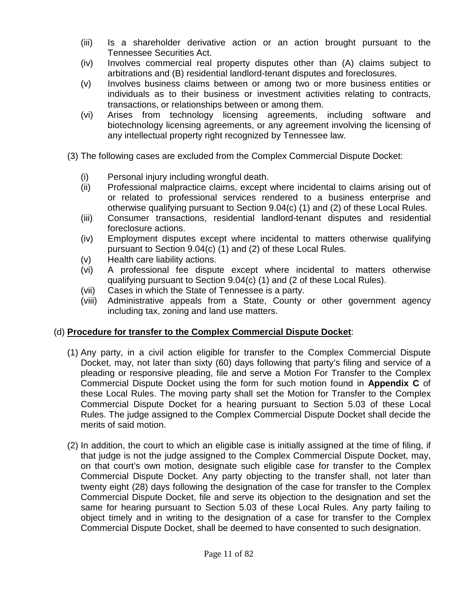- (iii) Is a shareholder derivative action or an action brought pursuant to the Tennessee Securities Act.
- (iv) Involves commercial real property disputes other than (A) claims subject to arbitrations and (B) residential landlord-tenant disputes and foreclosures.
- (v) Involves business claims between or among two or more business entities or individuals as to their business or investment activities relating to contracts, transactions, or relationships between or among them.
- (vi) Arises from technology licensing agreements, including software and biotechnology licensing agreements, or any agreement involving the licensing of any intellectual property right recognized by Tennessee law.
- (3) The following cases are excluded from the Complex Commercial Dispute Docket:
	- (i) Personal injury including wrongful death.
	- (ii) Professional malpractice claims, except where incidental to claims arising out of or related to professional services rendered to a business enterprise and otherwise qualifying pursuant to Section 9.04(c) (1) and (2) of these Local Rules.
	- (iii) Consumer transactions, residential landlord-tenant disputes and residential foreclosure actions.
	- (iv) Employment disputes except where incidental to matters otherwise qualifying pursuant to Section 9.04(c) (1) and (2) of these Local Rules.
	- (v) Health care liability actions.
	- (vi) A professional fee dispute except where incidental to matters otherwise qualifying pursuant to Section 9.04(c) (1) and (2 of these Local Rules).
	- (vii) Cases in which the State of Tennessee is a party.
	- (viii) Administrative appeals from a State, County or other government agency including tax, zoning and land use matters.

#### (d) **Procedure for transfer to the Complex Commercial Dispute Docket**:

- (1) Any party, in a civil action eligible for transfer to the Complex Commercial Dispute Docket, may, not later than sixty (60) days following that party's filing and service of a pleading or responsive pleading, file and serve a Motion For Transfer to the Complex Commercial Dispute Docket using the form for such motion found in **Appendix C** of these Local Rules. The moving party shall set the Motion for Transfer to the Complex Commercial Dispute Docket for a hearing pursuant to Section 5.03 of these Local Rules. The judge assigned to the Complex Commercial Dispute Docket shall decide the merits of said motion.
- (2) In addition, the court to which an eligible case is initially assigned at the time of filing, if that judge is not the judge assigned to the Complex Commercial Dispute Docket, may, on that court's own motion, designate such eligible case for transfer to the Complex Commercial Dispute Docket. Any party objecting to the transfer shall, not later than twenty eight (28) days following the designation of the case for transfer to the Complex Commercial Dispute Docket, file and serve its objection to the designation and set the same for hearing pursuant to Section 5.03 of these Local Rules. Any party failing to object timely and in writing to the designation of a case for transfer to the Complex Commercial Dispute Docket, shall be deemed to have consented to such designation.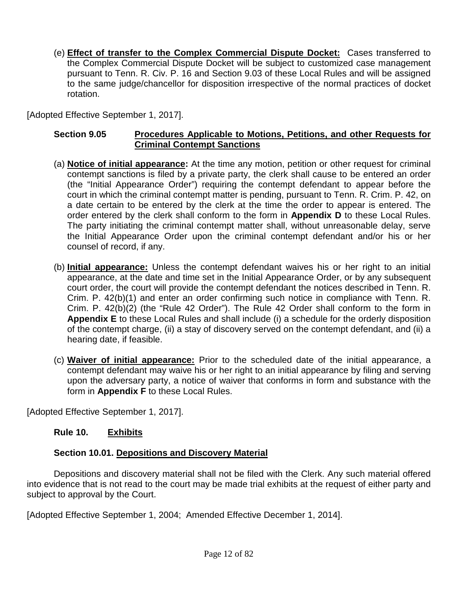(e) **Effect of transfer to the Complex Commercial Dispute Docket:** Cases transferred to the Complex Commercial Dispute Docket will be subject to customized case management pursuant to Tenn. R. Civ. P. 16 and Section 9.03 of these Local Rules and will be assigned to the same judge/chancellor for disposition irrespective of the normal practices of docket rotation.

[Adopted Effective September 1, 2017].

## **Section 9.05 Procedures Applicable to Motions, Petitions, and other Requests for Criminal Contempt Sanctions**

- (a) **Notice of initial appearance:** At the time any motion, petition or other request for criminal contempt sanctions is filed by a private party, the clerk shall cause to be entered an order (the "Initial Appearance Order") requiring the contempt defendant to appear before the court in which the criminal contempt matter is pending, pursuant to Tenn. R. Crim. P. 42, on a date certain to be entered by the clerk at the time the order to appear is entered. The order entered by the clerk shall conform to the form in **Appendix D** to these Local Rules. The party initiating the criminal contempt matter shall, without unreasonable delay, serve the Initial Appearance Order upon the criminal contempt defendant and/or his or her counsel of record, if any.
- (b) **Initial appearance:** Unless the contempt defendant waives his or her right to an initial appearance, at the date and time set in the Initial Appearance Order, or by any subsequent court order, the court will provide the contempt defendant the notices described in Tenn. R. Crim. P. 42(b)(1) and enter an order confirming such notice in compliance with Tenn. R. Crim. P. 42(b)(2) (the "Rule 42 Order"). The Rule 42 Order shall conform to the form in **Appendix E** to these Local Rules and shall include (i) a schedule for the orderly disposition of the contempt charge, (ii) a stay of discovery served on the contempt defendant, and (ii) a hearing date, if feasible.
- (c) **Waiver of initial appearance:** Prior to the scheduled date of the initial appearance, a contempt defendant may waive his or her right to an initial appearance by filing and serving upon the adversary party, a notice of waiver that conforms in form and substance with the form in **Appendix F** to these Local Rules.

[Adopted Effective September 1, 2017].

## **Rule 10. Exhibits**

## **Section 10.01. Depositions and Discovery Material**

 Depositions and discovery material shall not be filed with the Clerk. Any such material offered into evidence that is not read to the court may be made trial exhibits at the request of either party and subject to approval by the Court.

[Adopted Effective September 1, 2004; Amended Effective December 1, 2014].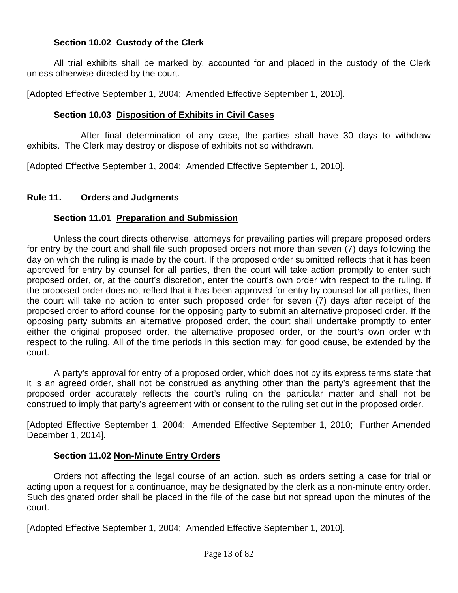## **Section 10.02 Custody of the Clerk**

All trial exhibits shall be marked by, accounted for and placed in the custody of the Clerk unless otherwise directed by the court.

[Adopted Effective September 1, 2004; Amended Effective September 1, 2010].

#### **Section 10.03 Disposition of Exhibits in Civil Cases**

After final determination of any case, the parties shall have 30 days to withdraw exhibits. The Clerk may destroy or dispose of exhibits not so withdrawn.

[Adopted Effective September 1, 2004; Amended Effective September 1, 2010].

#### **Rule 11. Orders and Judgments**

#### **Section 11.01 Preparation and Submission**

 Unless the court directs otherwise, attorneys for prevailing parties will prepare proposed orders for entry by the court and shall file such proposed orders not more than seven (7) days following the day on which the ruling is made by the court. If the proposed order submitted reflects that it has been approved for entry by counsel for all parties, then the court will take action promptly to enter such proposed order, or, at the court's discretion, enter the court's own order with respect to the ruling. If the proposed order does not reflect that it has been approved for entry by counsel for all parties, then the court will take no action to enter such proposed order for seven (7) days after receipt of the proposed order to afford counsel for the opposing party to submit an alternative proposed order. If the opposing party submits an alternative proposed order, the court shall undertake promptly to enter either the original proposed order, the alternative proposed order, or the court's own order with respect to the ruling. All of the time periods in this section may, for good cause, be extended by the court.

 A party's approval for entry of a proposed order, which does not by its express terms state that it is an agreed order, shall not be construed as anything other than the party's agreement that the proposed order accurately reflects the court's ruling on the particular matter and shall not be construed to imply that party's agreement with or consent to the ruling set out in the proposed order.

[Adopted Effective September 1, 2004; Amended Effective September 1, 2010; Further Amended December 1, 2014].

#### **Section 11.02 Non-Minute Entry Orders**

Orders not affecting the legal course of an action, such as orders setting a case for trial or acting upon a request for a continuance, may be designated by the clerk as a non-minute entry order. Such designated order shall be placed in the file of the case but not spread upon the minutes of the court.

[Adopted Effective September 1, 2004; Amended Effective September 1, 2010].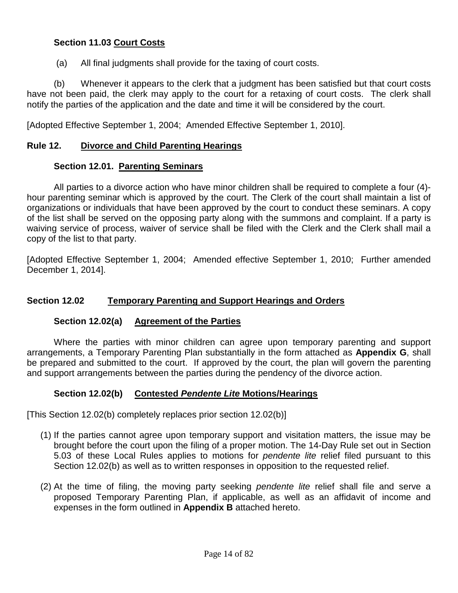## **Section 11.03 Court Costs**

(a) All final judgments shall provide for the taxing of court costs.

(b) Whenever it appears to the clerk that a judgment has been satisfied but that court costs have not been paid, the clerk may apply to the court for a retaxing of court costs. The clerk shall notify the parties of the application and the date and time it will be considered by the court.

[Adopted Effective September 1, 2004; Amended Effective September 1, 2010].

#### **Rule 12. Divorce and Child Parenting Hearings**

#### **Section 12.01. Parenting Seminars**

All parties to a divorce action who have minor children shall be required to complete a four (4) hour parenting seminar which is approved by the court. The Clerk of the court shall maintain a list of organizations or individuals that have been approved by the court to conduct these seminars. A copy of the list shall be served on the opposing party along with the summons and complaint. If a party is waiving service of process, waiver of service shall be filed with the Clerk and the Clerk shall mail a copy of the list to that party.

[Adopted Effective September 1, 2004; Amended effective September 1, 2010; Further amended December 1, 2014].

#### **Section 12.02 Temporary Parenting and Support Hearings and Orders**

#### **Section 12.02(a) Agreement of the Parties**

Where the parties with minor children can agree upon temporary parenting and support arrangements, a Temporary Parenting Plan substantially in the form attached as **Appendix G**, shall be prepared and submitted to the court. If approved by the court, the plan will govern the parenting and support arrangements between the parties during the pendency of the divorce action.

## **Section 12.02(b) Contested Pendente Lite Motions/Hearings**

[This Section 12.02(b) completely replaces prior section 12.02(b)]

- (1) If the parties cannot agree upon temporary support and visitation matters, the issue may be brought before the court upon the filing of a proper motion. The 14-Day Rule set out in Section 5.03 of these Local Rules applies to motions for *pendente lite* relief filed pursuant to this Section 12.02(b) as well as to written responses in opposition to the requested relief.
- (2) At the time of filing, the moving party seeking pendente lite relief shall file and serve a proposed Temporary Parenting Plan, if applicable, as well as an affidavit of income and expenses in the form outlined in **Appendix B** attached hereto.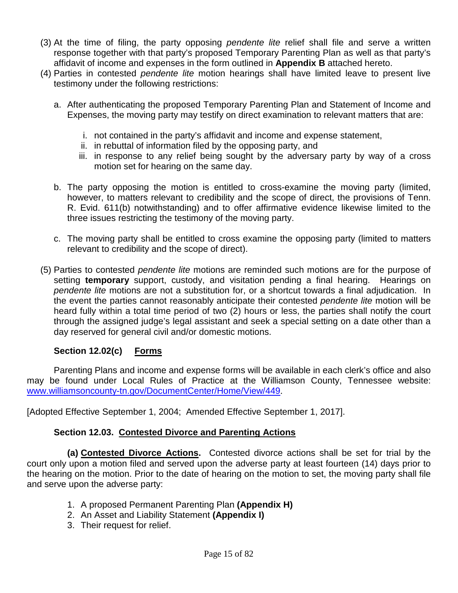- (3) At the time of filing, the party opposing pendente lite relief shall file and serve a written response together with that party's proposed Temporary Parenting Plan as well as that party's affidavit of income and expenses in the form outlined in **Appendix B** attached hereto.
- (4) Parties in contested pendente lite motion hearings shall have limited leave to present live testimony under the following restrictions:
	- a. After authenticating the proposed Temporary Parenting Plan and Statement of Income and Expenses, the moving party may testify on direct examination to relevant matters that are:
		- i. not contained in the party's affidavit and income and expense statement,
		- ii. in rebuttal of information filed by the opposing party, and
		- iii. in response to any relief being sought by the adversary party by way of a cross motion set for hearing on the same day.
	- b. The party opposing the motion is entitled to cross-examine the moving party (limited, however, to matters relevant to credibility and the scope of direct, the provisions of Tenn. R. Evid. 611(b) notwithstanding) and to offer affirmative evidence likewise limited to the three issues restricting the testimony of the moving party.
	- c. The moving party shall be entitled to cross examine the opposing party (limited to matters relevant to credibility and the scope of direct).
- (5) Parties to contested pendente lite motions are reminded such motions are for the purpose of setting **temporary** support, custody, and visitation pending a final hearing. Hearings on pendente lite motions are not a substitution for, or a shortcut towards a final adjudication. In the event the parties cannot reasonably anticipate their contested pendente lite motion will be heard fully within a total time period of two (2) hours or less, the parties shall notify the court through the assigned judge's legal assistant and seek a special setting on a date other than a day reserved for general civil and/or domestic motions.

## **Section 12.02(c) Forms**

 Parenting Plans and income and expense forms will be available in each clerk's office and also may be found under Local Rules of Practice at the Williamson County, Tennessee website: www.williamsoncounty-tn.gov/DocumentCenter/Home/View/449.

[Adopted Effective September 1, 2004; Amended Effective September 1, 2017].

## **Section 12.03. Contested Divorce and Parenting Actions**

**(a) Contested Divorce Actions.** Contested divorce actions shall be set for trial by the court only upon a motion filed and served upon the adverse party at least fourteen (14) days prior to the hearing on the motion. Prior to the date of hearing on the motion to set, the moving party shall file and serve upon the adverse party:

- 1. A proposed Permanent Parenting Plan **(Appendix H)**
- 2. An Asset and Liability Statement **(Appendix I)**
- 3. Their request for relief.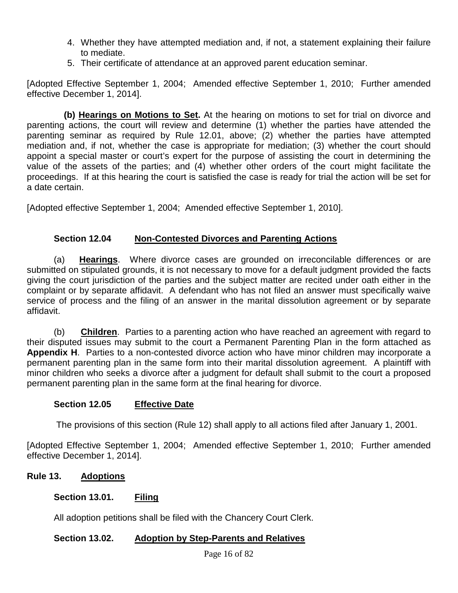- 4. Whether they have attempted mediation and, if not, a statement explaining their failure to mediate.
- 5. Their certificate of attendance at an approved parent education seminar.

[Adopted Effective September 1, 2004; Amended effective September 1, 2010; Further amended effective December 1, 2014].

 **(b) Hearings on Motions to Set.** At the hearing on motions to set for trial on divorce and parenting actions, the court will review and determine (1) whether the parties have attended the parenting seminar as required by Rule 12.01, above; (2) whether the parties have attempted mediation and, if not, whether the case is appropriate for mediation; (3) whether the court should appoint a special master or court's expert for the purpose of assisting the court in determining the value of the assets of the parties; and (4) whether other orders of the court might facilitate the proceedings. If at this hearing the court is satisfied the case is ready for trial the action will be set for a date certain.

[Adopted effective September 1, 2004; Amended effective September 1, 2010].

## **Section 12.04 Non-Contested Divorces and Parenting Actions**

(a) **Hearings**. Where divorce cases are grounded on irreconcilable differences or are submitted on stipulated grounds, it is not necessary to move for a default judgment provided the facts giving the court jurisdiction of the parties and the subject matter are recited under oath either in the complaint or by separate affidavit. A defendant who has not filed an answer must specifically waive service of process and the filing of an answer in the marital dissolution agreement or by separate affidavit.

(b) **Children**. Parties to a parenting action who have reached an agreement with regard to their disputed issues may submit to the court a Permanent Parenting Plan in the form attached as **Appendix H**. Parties to a non-contested divorce action who have minor children may incorporate a permanent parenting plan in the same form into their marital dissolution agreement. A plaintiff with minor children who seeks a divorce after a judgment for default shall submit to the court a proposed permanent parenting plan in the same form at the final hearing for divorce.

## **Section 12.05 Effective Date**

The provisions of this section (Rule 12) shall apply to all actions filed after January 1, 2001.

[Adopted Effective September 1, 2004; Amended effective September 1, 2010; Further amended effective December 1, 2014].

## **Rule 13. Adoptions**

## **Section 13.01. Filing**

All adoption petitions shall be filed with the Chancery Court Clerk.

## **Section 13.02. Adoption by Step-Parents and Relatives**

Page 16 of 82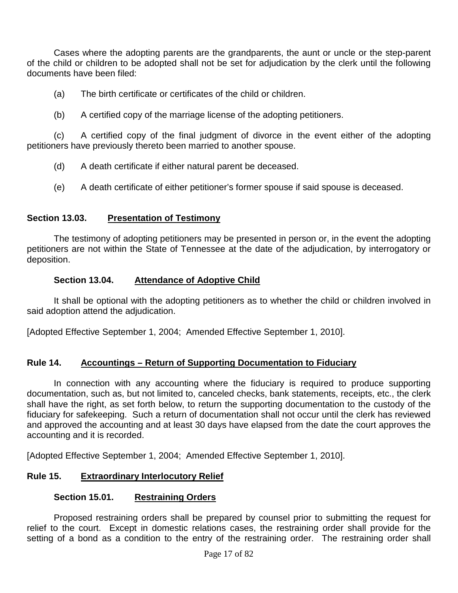Cases where the adopting parents are the grandparents, the aunt or uncle or the step-parent of the child or children to be adopted shall not be set for adjudication by the clerk until the following documents have been filed:

- (a) The birth certificate or certificates of the child or children.
- (b) A certified copy of the marriage license of the adopting petitioners.

(c) A certified copy of the final judgment of divorce in the event either of the adopting petitioners have previously thereto been married to another spouse.

- (d) A death certificate if either natural parent be deceased.
- (e) A death certificate of either petitioner's former spouse if said spouse is deceased.

## **Section 13.03. Presentation of Testimony**

The testimony of adopting petitioners may be presented in person or, in the event the adopting petitioners are not within the State of Tennessee at the date of the adjudication, by interrogatory or deposition.

## **Section 13.04. Attendance of Adoptive Child**

It shall be optional with the adopting petitioners as to whether the child or children involved in said adoption attend the adjudication.

[Adopted Effective September 1, 2004; Amended Effective September 1, 2010].

## **Rule 14. Accountings – Return of Supporting Documentation to Fiduciary**

In connection with any accounting where the fiduciary is required to produce supporting documentation, such as, but not limited to, canceled checks, bank statements, receipts, etc., the clerk shall have the right, as set forth below, to return the supporting documentation to the custody of the fiduciary for safekeeping. Such a return of documentation shall not occur until the clerk has reviewed and approved the accounting and at least 30 days have elapsed from the date the court approves the accounting and it is recorded.

[Adopted Effective September 1, 2004; Amended Effective September 1, 2010].

## **Rule 15. Extraordinary Interlocutory Relief**

## **Section 15.01. Restraining Orders**

Proposed restraining orders shall be prepared by counsel prior to submitting the request for relief to the court. Except in domestic relations cases, the restraining order shall provide for the setting of a bond as a condition to the entry of the restraining order. The restraining order shall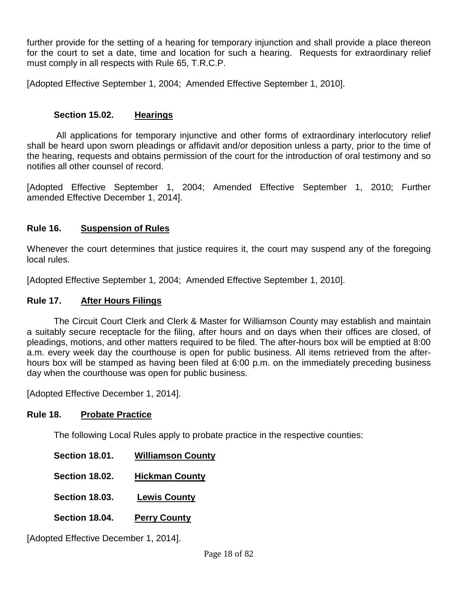further provide for the setting of a hearing for temporary injunction and shall provide a place thereon for the court to set a date, time and location for such a hearing. Requests for extraordinary relief must comply in all respects with Rule 65, T.R.C.P.

[Adopted Effective September 1, 2004; Amended Effective September 1, 2010].

#### **Section 15.02. Hearings**

 All applications for temporary injunctive and other forms of extraordinary interlocutory relief shall be heard upon sworn pleadings or affidavit and/or deposition unless a party, prior to the time of the hearing, requests and obtains permission of the court for the introduction of oral testimony and so notifies all other counsel of record.

[Adopted Effective September 1, 2004; Amended Effective September 1, 2010; Further amended Effective December 1, 2014].

#### **Rule 16. Suspension of Rules**

Whenever the court determines that justice requires it, the court may suspend any of the foregoing local rules.

[Adopted Effective September 1, 2004; Amended Effective September 1, 2010].

#### **Rule 17. After Hours Filings**

The Circuit Court Clerk and Clerk & Master for Williamson County may establish and maintain a suitably secure receptacle for the filing, after hours and on days when their offices are closed, of pleadings, motions, and other matters required to be filed. The after-hours box will be emptied at 8:00 a.m. every week day the courthouse is open for public business. All items retrieved from the afterhours box will be stamped as having been filed at 6:00 p.m. on the immediately preceding business day when the courthouse was open for public business.

[Adopted Effective December 1, 2014].

#### **Rule 18. Probate Practice**

The following Local Rules apply to probate practice in the respective counties:

| <b>Section 18.01.</b> | <b>Williamson County</b> |
|-----------------------|--------------------------|
|-----------------------|--------------------------|

 **Section 18.02. Hickman County**

- **Section 18.03. Lewis County**
- **Section 18.04.** Perry County

[Adopted Effective December 1, 2014].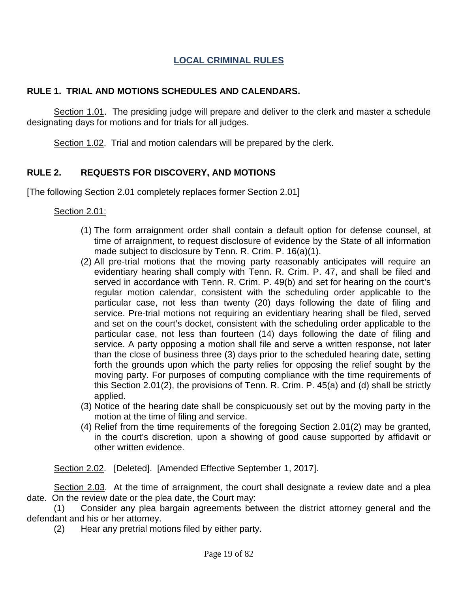## **LOCAL CRIMINAL RULES**

#### **RULE 1. TRIAL AND MOTIONS SCHEDULES AND CALENDARS.**

Section 1.01. The presiding judge will prepare and deliver to the clerk and master a schedule designating days for motions and for trials for all judges.

Section 1.02. Trial and motion calendars will be prepared by the clerk.

## **RULE 2. REQUESTS FOR DISCOVERY, AND MOTIONS**

[The following Section 2.01 completely replaces former Section 2.01]

#### Section 2.01:

- (1) The form arraignment order shall contain a default option for defense counsel, at time of arraignment, to request disclosure of evidence by the State of all information made subject to disclosure by Tenn. R. Crim. P. 16(a)(1).
- (2) All pre-trial motions that the moving party reasonably anticipates will require an evidentiary hearing shall comply with Tenn. R. Crim. P. 47, and shall be filed and served in accordance with Tenn. R. Crim. P. 49(b) and set for hearing on the court's regular motion calendar, consistent with the scheduling order applicable to the particular case, not less than twenty (20) days following the date of filing and service. Pre-trial motions not requiring an evidentiary hearing shall be filed, served and set on the court's docket, consistent with the scheduling order applicable to the particular case, not less than fourteen (14) days following the date of filing and service. A party opposing a motion shall file and serve a written response, not later than the close of business three (3) days prior to the scheduled hearing date, setting forth the grounds upon which the party relies for opposing the relief sought by the moving party. For purposes of computing compliance with the time requirements of this Section 2.01(2), the provisions of Tenn. R. Crim. P. 45(a) and (d) shall be strictly applied.
- (3) Notice of the hearing date shall be conspicuously set out by the moving party in the motion at the time of filing and service.
- (4) Relief from the time requirements of the foregoing Section 2.01(2) may be granted, in the court's discretion, upon a showing of good cause supported by affidavit or other written evidence.

Section 2.02. [Deleted]. [Amended Effective September 1, 2017].

 Section 2.03. At the time of arraignment, the court shall designate a review date and a plea date. On the review date or the plea date, the Court may:

(1) Consider any plea bargain agreements between the district attorney general and the defendant and his or her attorney.

(2) Hear any pretrial motions filed by either party.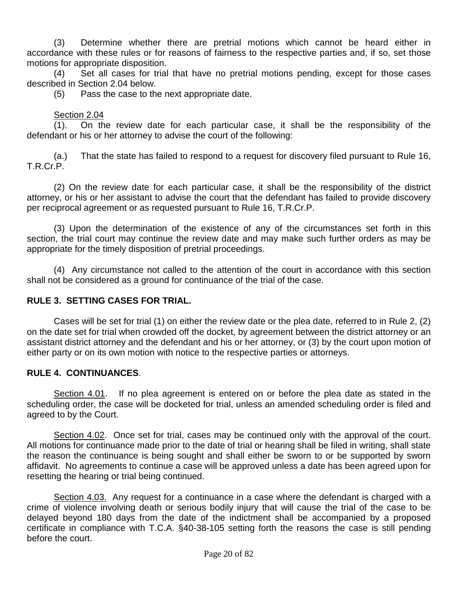(3) Determine whether there are pretrial motions which cannot be heard either in accordance with these rules or for reasons of fairness to the respective parties and, if so, set those motions for appropriate disposition.

(4) Set all cases for trial that have no pretrial motions pending, except for those cases described in Section 2.04 below.

(5) Pass the case to the next appropriate date.

#### Section 2.04

(1). On the review date for each particular case, it shall be the responsibility of the defendant or his or her attorney to advise the court of the following:

(a.) That the state has failed to respond to a request for discovery filed pursuant to Rule 16, T.R.Cr.P.

(2) On the review date for each particular case, it shall be the responsibility of the district attorney, or his or her assistant to advise the court that the defendant has failed to provide discovery per reciprocal agreement or as requested pursuant to Rule 16, T.R.Cr.P.

(3) Upon the determination of the existence of any of the circumstances set forth in this section, the trial court may continue the review date and may make such further orders as may be appropriate for the timely disposition of pretrial proceedings.

(4) Any circumstance not called to the attention of the court in accordance with this section shall not be considered as a ground for continuance of the trial of the case.

## **RULE 3. SETTING CASES FOR TRIAL.**

Cases will be set for trial (1) on either the review date or the plea date, referred to in Rule 2, (2) on the date set for trial when crowded off the docket, by agreement between the district attorney or an assistant district attorney and the defendant and his or her attorney, or (3) by the court upon motion of either party or on its own motion with notice to the respective parties or attorneys.

## **RULE 4. CONTINUANCES**.

Section 4.01. If no plea agreement is entered on or before the plea date as stated in the scheduling order, the case will be docketed for trial, unless an amended scheduling order is filed and agreed to by the Court.

Section 4.02. Once set for trial, cases may be continued only with the approval of the court. All motions for continuance made prior to the date of trial or hearing shall be filed in writing, shall state the reason the continuance is being sought and shall either be sworn to or be supported by sworn affidavit. No agreements to continue a case will be approved unless a date has been agreed upon for resetting the hearing or trial being continued.

Section 4.03. Any request for a continuance in a case where the defendant is charged with a crime of violence involving death or serious bodily injury that will cause the trial of the case to be delayed beyond 180 days from the date of the indictment shall be accompanied by a proposed certificate in compliance with T.C.A. §40-38-105 setting forth the reasons the case is still pending before the court.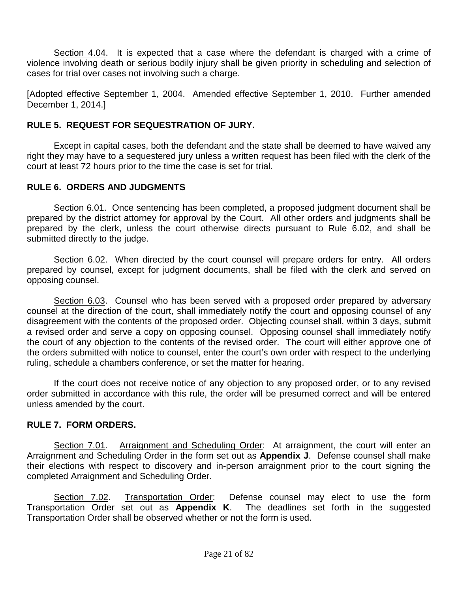Section 4.04. It is expected that a case where the defendant is charged with a crime of violence involving death or serious bodily injury shall be given priority in scheduling and selection of cases for trial over cases not involving such a charge.

[Adopted effective September 1, 2004. Amended effective September 1, 2010. Further amended December 1, 2014.]

## **RULE 5. REQUEST FOR SEQUESTRATION OF JURY.**

Except in capital cases, both the defendant and the state shall be deemed to have waived any right they may have to a sequestered jury unless a written request has been filed with the clerk of the court at least 72 hours prior to the time the case is set for trial.

## **RULE 6. ORDERS AND JUDGMENTS**

Section 6.01. Once sentencing has been completed, a proposed judgment document shall be prepared by the district attorney for approval by the Court. All other orders and judgments shall be prepared by the clerk, unless the court otherwise directs pursuant to Rule 6.02, and shall be submitted directly to the judge.

Section 6.02. When directed by the court counsel will prepare orders for entry. All orders prepared by counsel, except for judgment documents, shall be filed with the clerk and served on opposing counsel.

Section 6.03. Counsel who has been served with a proposed order prepared by adversary counsel at the direction of the court, shall immediately notify the court and opposing counsel of any disagreement with the contents of the proposed order. Objecting counsel shall, within 3 days, submit a revised order and serve a copy on opposing counsel. Opposing counsel shall immediately notify the court of any objection to the contents of the revised order. The court will either approve one of the orders submitted with notice to counsel, enter the court's own order with respect to the underlying ruling, schedule a chambers conference, or set the matter for hearing.

If the court does not receive notice of any objection to any proposed order, or to any revised order submitted in accordance with this rule, the order will be presumed correct and will be entered unless amended by the court.

## **RULE 7. FORM ORDERS.**

Section 7.01. Arraignment and Scheduling Order: At arraignment, the court will enter an Arraignment and Scheduling Order in the form set out as **Appendix J**. Defense counsel shall make their elections with respect to discovery and in-person arraignment prior to the court signing the completed Arraignment and Scheduling Order.

Section 7.02. Transportation Order: Defense counsel may elect to use the form Transportation Order set out as **Appendix K**. The deadlines set forth in the suggested Transportation Order shall be observed whether or not the form is used.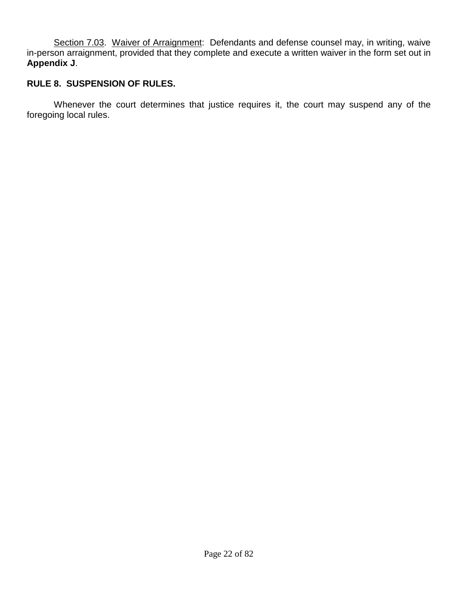Section 7.03. Waiver of Arraignment: Defendants and defense counsel may, in writing, waive in-person arraignment, provided that they complete and execute a written waiver in the form set out in **Appendix J**.

#### **RULE 8. SUSPENSION OF RULES.**

 Whenever the court determines that justice requires it, the court may suspend any of the foregoing local rules.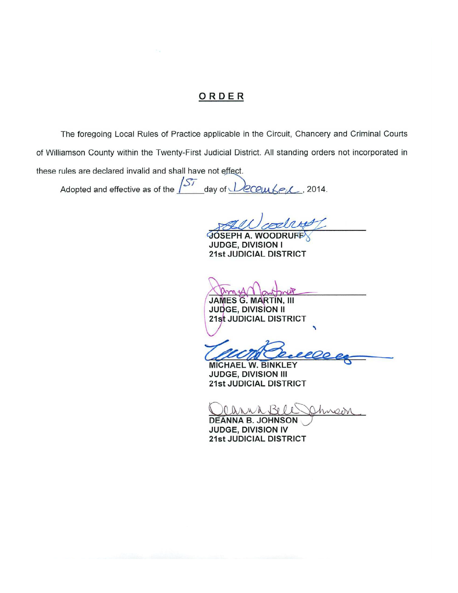#### ORDER

The foregoing Local Rules of Practice applicable in the Circuit, Chancery and Criminal Courts of Williamson County within the Twenty-First Judicial District. All standing orders not incorporated in these rules are declared invalid and shall have not effect.

Adopted and effective as of the  $\sqrt{\mathcal{ST}}$ day of Leceutred, 2014.

**GOSEPH A. WOODRUFF JUDGE, DIVISION I** 21st JUDICIAL DISTRICT

JAMES G. MARTIN, III **JUDGE, DIVISION II** 21st JUDICIAL DISTRICT

**MICHAEL W. BINKLEY** JUDGE, DIVISION III 21st JUDICIAL DISTRICT

Thurson  $M/R$ 

**DEANNA B. JOHNSON** JUDGE, DIVISION IV 21st JUDICIAL DISTRICT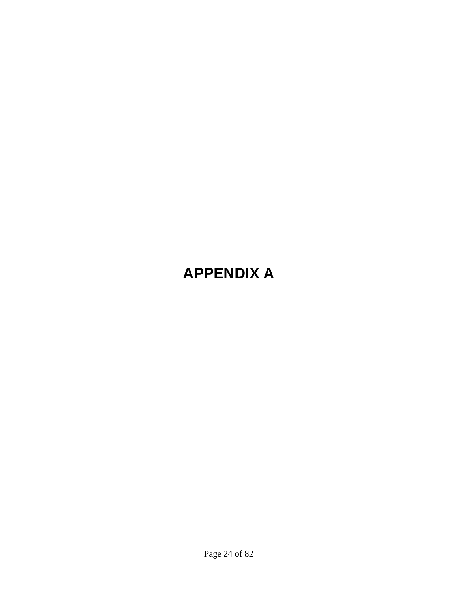## **APPENDIX A**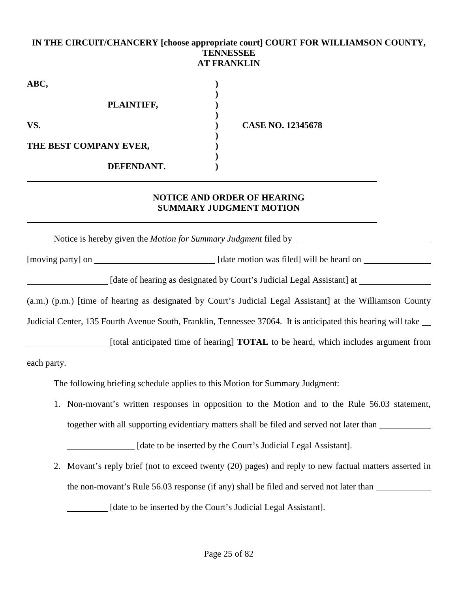#### **IN THE CIRCUIT/CHANCERY [choose appropriate court] COURT FOR WILLIAMSON COUNTY, TENNESSEE AT FRANKLIN**

| ABC,                   |  |
|------------------------|--|
| PLAINTIFF,             |  |
| VS.                    |  |
| THE BEST COMPANY EVER, |  |
| DEFENDANT.             |  |

**VS. ) CASE NO. 12345678** 

#### **NOTICE AND ORDER OF HEARING SUMMARY JUDGMENT MOTION**

Notice is hereby given the *Motion for Summary Judgment* filed by

[moving party] on [date motion was filed] will be heard on

[date of hearing as designated by Court's Judicial Legal Assistant] at

(a.m.) (p.m.) [time of hearing as designated by Court's Judicial Legal Assistant] at the Williamson County

Judicial Center, 135 Fourth Avenue South, Franklin, Tennessee 37064. It is anticipated this hearing will take

[total anticipated time of hearing] **TOTAL** to be heard, which includes argument from

each party.

The following briefing schedule applies to this Motion for Summary Judgment:

1. Non-movant's written responses in opposition to the Motion and to the Rule 56.03 statement, together with all supporting evidentiary matters shall be filed and served not later than

[date to be inserted by the Court's Judicial Legal Assistant].

2. Movant's reply brief (not to exceed twenty (20) pages) and reply to new factual matters asserted in the non-movant's Rule 56.03 response (if any) shall be filed and served not later than

[date to be inserted by the Court's Judicial Legal Assistant].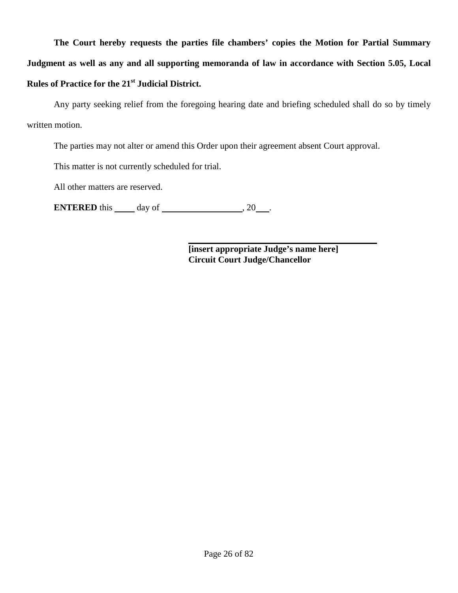**The Court hereby requests the parties file chambers' copies the Motion for Partial Summary Judgment as well as any and all supporting memoranda of law in accordance with Section 5.05, Local Rules of Practice for the 21st Judicial District.** 

Any party seeking relief from the foregoing hearing date and briefing scheduled shall do so by timely written motion.

The parties may not alter or amend this Order upon their agreement absent Court approval.

This matter is not currently scheduled for trial.

All other matters are reserved.

**ENTERED** this  $\_\_\_$  day of  $\_\_\_\_\_\_$ , 20  $\_\_\_\_\.\$ 

 **[insert appropriate Judge's name here] Circuit Court Judge/Chancellor**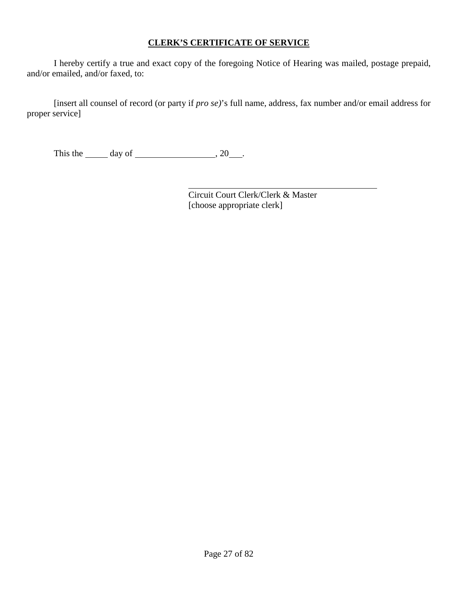#### **CLERK'S CERTIFICATE OF SERVICE**

 I hereby certify a true and exact copy of the foregoing Notice of Hearing was mailed, postage prepaid, and/or emailed, and/or faxed, to:

 [insert all counsel of record (or party if *pro se)*'s full name, address, fax number and/or email address for proper service]

This the  $\_\_\_$  day of  $\_\_\_\_\_\_\_\$ , 20  $\_\_\_\_\$ .

 Circuit Court Clerk/Clerk & Master [choose appropriate clerk]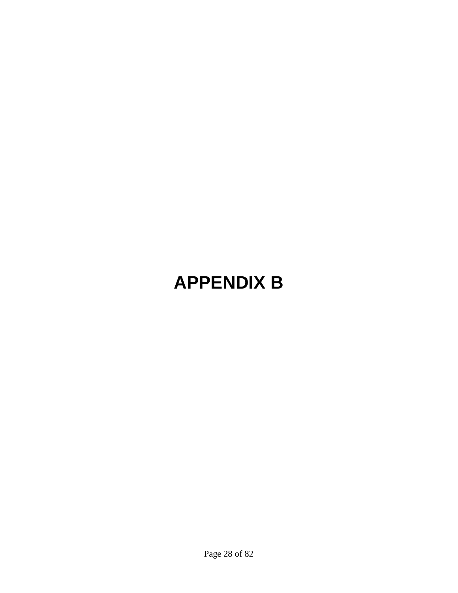# **APPENDIX B**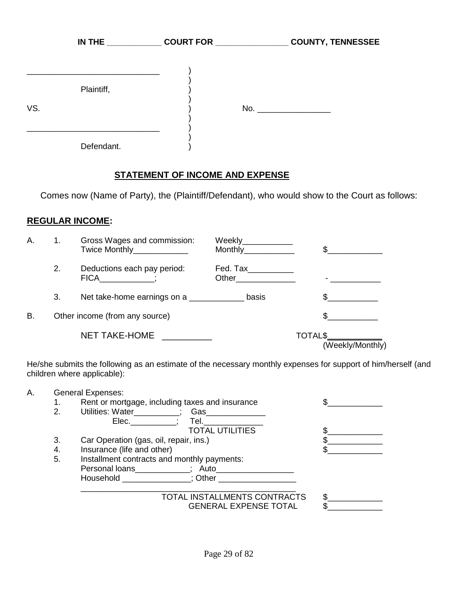|     |            | IN THE _______________ COURT FOR ____________ | <b>COUNTY, TENNESSEE</b>                                                                                                                                                                                                       |
|-----|------------|-----------------------------------------------|--------------------------------------------------------------------------------------------------------------------------------------------------------------------------------------------------------------------------------|
|     |            |                                               |                                                                                                                                                                                                                                |
|     | Plaintiff, |                                               |                                                                                                                                                                                                                                |
| VS. |            |                                               | No. And the contract of the contract of the contract of the contract of the contract of the contract of the contract of the contract of the contract of the contract of the contract of the contract of the contract of the co |
|     | Defendant. |                                               |                                                                                                                                                                                                                                |

## **STATEMENT OF INCOME AND EXPENSE**

Comes now (Name of Party), the (Plaintiff/Defendant), who would show to the Court as follows:

## **REGULAR INCOME:**

| А. | 1. | Gross Wages and commission:<br>Twice Monthly_____________    | Weekly<br>Monthly_____________                                                                                                                                                                                                                        |                                    |
|----|----|--------------------------------------------------------------|-------------------------------------------------------------------------------------------------------------------------------------------------------------------------------------------------------------------------------------------------------|------------------------------------|
|    | 2. | Deductions each pay period:<br>FICA ;                        | Fed. Tax___________<br>Other the contract of the contract of the contract of the contract of the contract of the contract of the contract of the contract of the contract of the contract of the contract of the contract of the contract of the cont |                                    |
|    | 3. | Net take-home earnings on a                                  | basis                                                                                                                                                                                                                                                 |                                    |
| B. |    | Other income (from any source)                               |                                                                                                                                                                                                                                                       |                                    |
|    |    | <b>NET TAKE-HOME</b><br><u> 1980 - Jan Barat, primeira e</u> |                                                                                                                                                                                                                                                       | <b>TOTAL\$</b><br>(Weekly/Monthly) |

He/she submits the following as an estimate of the necessary monthly expenses for support of him/herself (and children where applicable):

| A. |    | <b>General Expenses:</b>                        |  |
|----|----|-------------------------------------------------|--|
|    |    | Rent or mortgage, including taxes and insurance |  |
|    |    | Utilities: Water<br>Gas                         |  |
|    |    | Tel.<br>Elec.___________                        |  |
|    |    | <b>TOTAL UTILITIES</b>                          |  |
|    | 3. | Car Operation (gas, oil, repair, ins.)          |  |
|    | 4. | Insurance (life and other)                      |  |
|    | 5. | Installment contracts and monthly payments:     |  |
|    |    | Personal loans___________; Auto_                |  |
|    |    | <b>Household Example 1996</b><br>: Other        |  |
|    |    | <b>TOTAL INSTALLMENTS CONTRACTS</b>             |  |
|    |    | <b>GENERAL EXPENSE TOTAL</b>                    |  |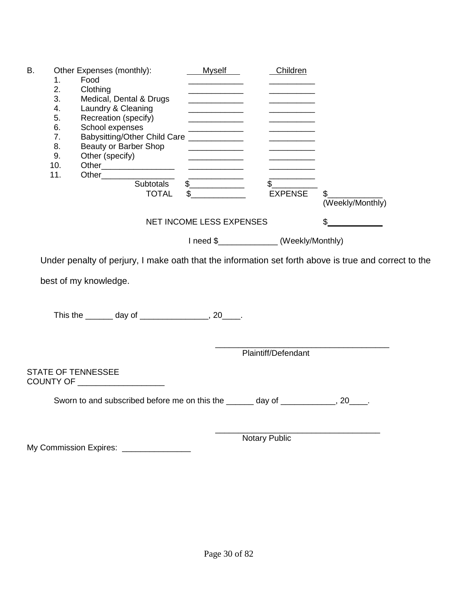| В. |     | Other Expenses (monthly):                                                                             | <b>Myself</b>                                                                                                                                                                                                                                                                                                                                                       | Children                                  |                  |  |
|----|-----|-------------------------------------------------------------------------------------------------------|---------------------------------------------------------------------------------------------------------------------------------------------------------------------------------------------------------------------------------------------------------------------------------------------------------------------------------------------------------------------|-------------------------------------------|------------------|--|
|    | 1.  | Food                                                                                                  |                                                                                                                                                                                                                                                                                                                                                                     |                                           |                  |  |
|    | 2.  | Clothing                                                                                              |                                                                                                                                                                                                                                                                                                                                                                     |                                           |                  |  |
|    | 3.  | Medical, Dental & Drugs                                                                               |                                                                                                                                                                                                                                                                                                                                                                     |                                           |                  |  |
|    | 4.  | Laundry & Cleaning                                                                                    | <u> 1980 - Johann Barbara, martin di</u>                                                                                                                                                                                                                                                                                                                            | <u> 1989 - Johann Barbara, martxa a</u>   |                  |  |
|    | 5.  | Recreation (specify)                                                                                  | <u> 1980 - Johann Barbara, martin di</u>                                                                                                                                                                                                                                                                                                                            |                                           |                  |  |
|    | 6.  | School expenses                                                                                       |                                                                                                                                                                                                                                                                                                                                                                     |                                           |                  |  |
|    | 7.  | Babysitting/Other Child Care _____________                                                            |                                                                                                                                                                                                                                                                                                                                                                     |                                           |                  |  |
|    | 8.  | Beauty or Barber Shop                                                                                 | <u> Alexandro Alexandro Alexandro Alexandro Alexandro Alexandro Alexandro Alexandro Alexandro Alexandro Alexandro </u>                                                                                                                                                                                                                                              | ______________________                    |                  |  |
|    | 9.  | Other (specify)                                                                                       |                                                                                                                                                                                                                                                                                                                                                                     |                                           |                  |  |
|    | 10. |                                                                                                       | <u> The Common State of the Common State of the Common State of the Common State of the Common State of the Common State of the Common State of the Common State of the Common State of the Common State of the Common State of </u>                                                                                                                                |                                           |                  |  |
|    | 11. |                                                                                                       | ______________________                                                                                                                                                                                                                                                                                                                                              |                                           |                  |  |
|    |     | Subtotals                                                                                             | $\begin{picture}(20,20) \put(0,0){\vector(1,0){100}} \put(15,0){\vector(1,0){100}} \put(15,0){\vector(1,0){100}} \put(15,0){\vector(1,0){100}} \put(15,0){\vector(1,0){100}} \put(15,0){\vector(1,0){100}} \put(15,0){\vector(1,0){100}} \put(15,0){\vector(1,0){100}} \put(15,0){\vector(1,0){100}} \put(15,0){\vector(1,0){100}} \put(15,0){\vector(1,0){100}} \$ | $\frac{1}{2}$                             |                  |  |
|    |     | <b>TOTAL</b>                                                                                          | $\mathbb{S}$                                                                                                                                                                                                                                                                                                                                                        | <b>EXPENSE</b>                            | $\sim$           |  |
|    |     |                                                                                                       |                                                                                                                                                                                                                                                                                                                                                                     |                                           | (Weekly/Monthly) |  |
|    |     |                                                                                                       | NET INCOME LESS EXPENSES                                                                                                                                                                                                                                                                                                                                            |                                           | $\frac{1}{2}$    |  |
|    |     |                                                                                                       |                                                                                                                                                                                                                                                                                                                                                                     | I need \$________________(Weekly/Monthly) |                  |  |
|    |     |                                                                                                       |                                                                                                                                                                                                                                                                                                                                                                     |                                           |                  |  |
|    |     | Under penalty of perjury, I make oath that the information set forth above is true and correct to the |                                                                                                                                                                                                                                                                                                                                                                     |                                           |                  |  |
|    |     |                                                                                                       |                                                                                                                                                                                                                                                                                                                                                                     |                                           |                  |  |
|    |     | best of my knowledge.                                                                                 |                                                                                                                                                                                                                                                                                                                                                                     |                                           |                  |  |
|    |     |                                                                                                       |                                                                                                                                                                                                                                                                                                                                                                     |                                           |                  |  |
|    |     |                                                                                                       |                                                                                                                                                                                                                                                                                                                                                                     |                                           |                  |  |
|    |     | This the ________ day of _________________, 20_____.                                                  |                                                                                                                                                                                                                                                                                                                                                                     |                                           |                  |  |
|    |     |                                                                                                       |                                                                                                                                                                                                                                                                                                                                                                     |                                           |                  |  |
|    |     |                                                                                                       |                                                                                                                                                                                                                                                                                                                                                                     |                                           |                  |  |
|    |     |                                                                                                       |                                                                                                                                                                                                                                                                                                                                                                     |                                           |                  |  |
|    |     |                                                                                                       |                                                                                                                                                                                                                                                                                                                                                                     | Plaintiff/Defendant                       |                  |  |
|    |     | <b>STATE OF TENNESSEE</b>                                                                             |                                                                                                                                                                                                                                                                                                                                                                     |                                           |                  |  |
|    |     |                                                                                                       |                                                                                                                                                                                                                                                                                                                                                                     |                                           |                  |  |
|    |     |                                                                                                       |                                                                                                                                                                                                                                                                                                                                                                     |                                           |                  |  |
|    |     | Sworn to and subscribed before me on this the ______ day of ___________, 20____.                      |                                                                                                                                                                                                                                                                                                                                                                     |                                           |                  |  |
|    |     |                                                                                                       |                                                                                                                                                                                                                                                                                                                                                                     |                                           |                  |  |
|    |     |                                                                                                       |                                                                                                                                                                                                                                                                                                                                                                     |                                           |                  |  |
|    |     |                                                                                                       |                                                                                                                                                                                                                                                                                                                                                                     | <b>Notary Public</b>                      |                  |  |

My Commission Expires: \_\_\_\_\_\_\_\_\_\_\_\_\_\_\_\_\_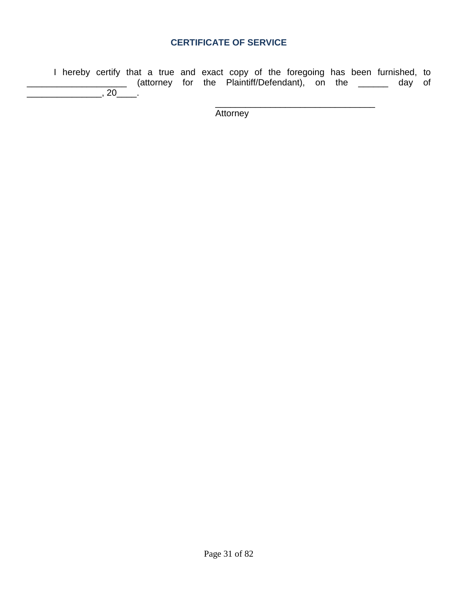## **CERTIFICATE OF SERVICE**

I hereby certify that a true and exact copy of the foregoing has been furnished, to \_\_\_\_\_\_\_\_\_\_\_\_\_\_\_\_\_\_\_\_ (attorney for the Plaintiff/Defendant), on the \_\_\_\_\_\_ day of \_\_\_\_\_\_\_\_\_\_\_\_\_\_\_, 20\_\_\_\_.  $\frac{1}{\sqrt{2\pi}}$  , which is the contract of the contract of the contract of the contract of the contract of the contract of the contract of the contract of the contract of the contract of the contract of the contract of the

Attorney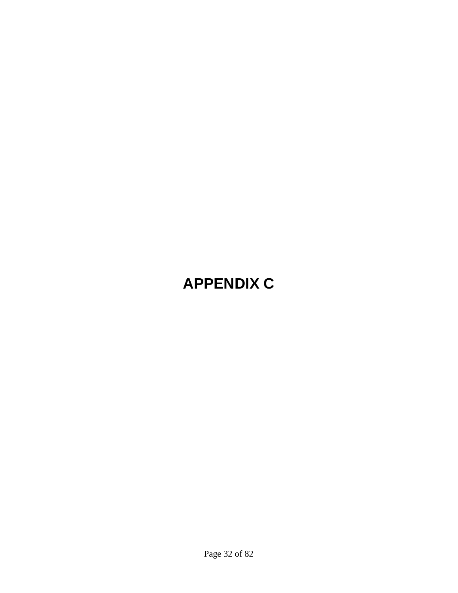## **APPENDIX C**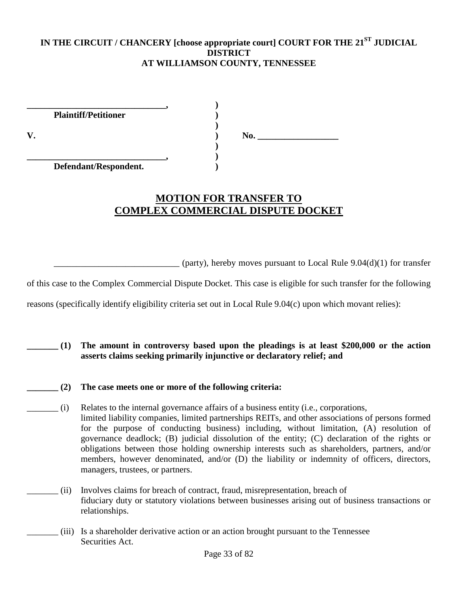## **IN THE CIRCUIT / CHANCERY [choose appropriate court] COURT FOR THE 21ST JUDICIAL DISTRICT AT WILLIAMSON COUNTY, TENNESSEE**

|    | <b>Plaintiff/Petitioner</b> |     |
|----|-----------------------------|-----|
|    |                             |     |
| V. |                             | No. |
|    |                             |     |
|    |                             |     |
|    | Defendant/Respondent.       |     |

## **MOTION FOR TRANSFER TO COMPLEX COMMERCIAL DISPUTE DOCKET**

 $_{\rm (party)}$ , hereby moves pursuant to Local Rule 9.04(d)(1) for transfer

of this case to the Complex Commercial Dispute Docket. This case is eligible for such transfer for the following

reasons (specifically identify eligibility criteria set out in Local Rule 9.04(c) upon which movant relies):

- **\_\_\_\_\_\_\_ (1) The amount in controversy based upon the pleadings is at least \$200,000 or the action asserts claims seeking primarily injunctive or declaratory relief; and**
- **\_\_\_\_\_\_\_ (2) The case meets one or more of the following criteria:**
- \_\_\_\_\_\_\_ (i) Relates to the internal governance affairs of a business entity (i.e., corporations, limited liability companies, limited partnerships REITs, and other associations of persons formed for the purpose of conducting business) including, without limitation, (A) resolution of governance deadlock; (B) judicial dissolution of the entity; (C) declaration of the rights or obligations between those holding ownership interests such as shareholders, partners, and/or members, however denominated, and/or (D) the liability or indemnity of officers, directors, managers, trustees, or partners.
	- \_\_\_\_\_\_\_ (ii) Involves claims for breach of contract, fraud, misrepresentation, breach of fiduciary duty or statutory violations between businesses arising out of business transactions or relationships.
	- \_\_\_\_\_\_\_ (iii) Is a shareholder derivative action or an action brought pursuant to the Tennessee Securities Act.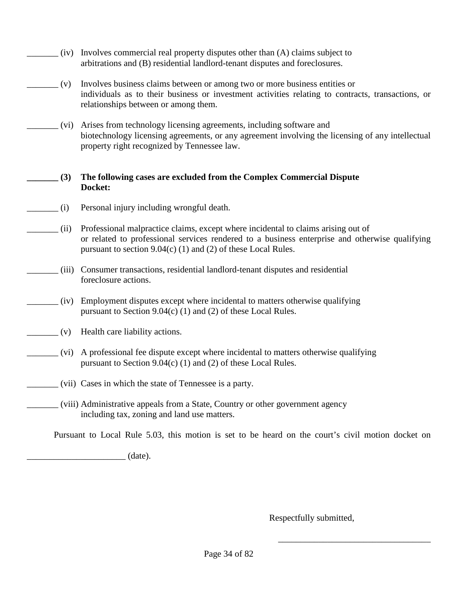- \_\_\_\_\_\_\_ (iv) Involves commercial real property disputes other than (A) claims subject to arbitrations and (B) residential landlord-tenant disputes and foreclosures.
- \_\_\_\_\_\_\_ (v) Involves business claims between or among two or more business entities or individuals as to their business or investment activities relating to contracts, transactions, or relationships between or among them.
- \_\_\_\_\_\_\_ (vi) Arises from technology licensing agreements, including software and biotechnology licensing agreements, or any agreement involving the licensing of any intellectual property right recognized by Tennessee law.

#### **\_\_\_\_\_\_\_ (3) The following cases are excluded from the Complex Commercial Dispute Docket:**

- \_\_\_\_\_\_\_ (i) Personal injury including wrongful death.
- \_\_\_\_\_\_\_ (ii) Professional malpractice claims, except where incidental to claims arising out of or related to professional services rendered to a business enterprise and otherwise qualifying pursuant to section 9.04(c) (1) and (2) of these Local Rules.
- \_\_\_\_\_\_\_ (iii) Consumer transactions, residential landlord-tenant disputes and residential foreclosure actions.
- \_\_\_\_\_\_\_ (iv) Employment disputes except where incidental to matters otherwise qualifying pursuant to Section 9.04(c) (1) and (2) of these Local Rules.
- \_\_\_\_\_\_\_ (v) Health care liability actions.
	- \_\_\_\_\_\_\_ (vi) A professional fee dispute except where incidental to matters otherwise qualifying pursuant to Section 9.04(c) (1) and (2) of these Local Rules.
	- \_\_\_\_\_\_\_ (vii) Cases in which the state of Tennessee is a party.
		- \_\_\_\_\_\_\_ (viii) Administrative appeals from a State, Country or other government agency including tax, zoning and land use matters.

Pursuant to Local Rule 5.03, this motion is set to be heard on the court's civil motion docket on

 $(date).$ 

Respectfully submitted,

\_\_\_\_\_\_\_\_\_\_\_\_\_\_\_\_\_\_\_\_\_\_\_\_\_\_\_\_\_\_\_\_\_\_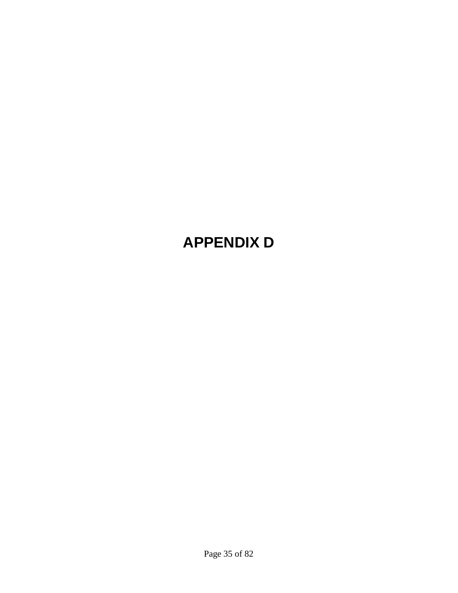## **APPENDIX D**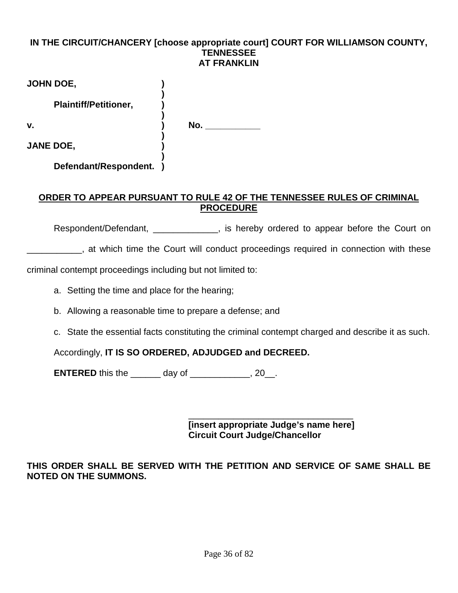#### **IN THE CIRCUIT/CHANCERY [choose appropriate court] COURT FOR WILLIAMSON COUNTY, TENNESSEE AT FRANKLIN**

| <b>JOHN DOE,</b> |  |
|------------------|--|
|------------------|--|

 **) Plaintiff/Petitioner, )** 

 **)** 

| ۷. | <br>$\cdot$ . $\cdot$ |
|----|-----------------------|

 **) JANE DOE, )** 

 **) Defendant/Respondent. )** 

## **ORDER TO APPEAR PURSUANT TO RULE 42 OF THE TENNESSEE RULES OF CRIMINAL PROCEDURE**

Respondent/Defendant, \_\_\_\_\_\_\_\_\_\_\_\_\_, is hereby ordered to appear before the Court on

<u>\_\_</u>\_\_\_, at which time the Court will conduct proceedings required in connection with these

criminal contempt proceedings including but not limited to:

- a. Setting the time and place for the hearing;
- b. Allowing a reasonable time to prepare a defense; and
- c. State the essential facts constituting the criminal contempt charged and describe it as such.

Accordingly, **IT IS SO ORDERED, ADJUDGED and DECREED.**

**ENTERED** this the \_\_\_\_\_\_ day of \_\_\_\_\_\_\_\_\_\_\_\_, 20\_\_.

 $\overline{\phantom{a}}$  , and the contract of the contract of the contract of the contract of the contract of the contract of the contract of the contract of the contract of the contract of the contract of the contract of the contrac  **[insert appropriate Judge's name here] Circuit Court Judge/Chancellor** 

**THIS ORDER SHALL BE SERVED WITH THE PETITION AND SERVICE OF SAME SHALL BE NOTED ON THE SUMMONS.**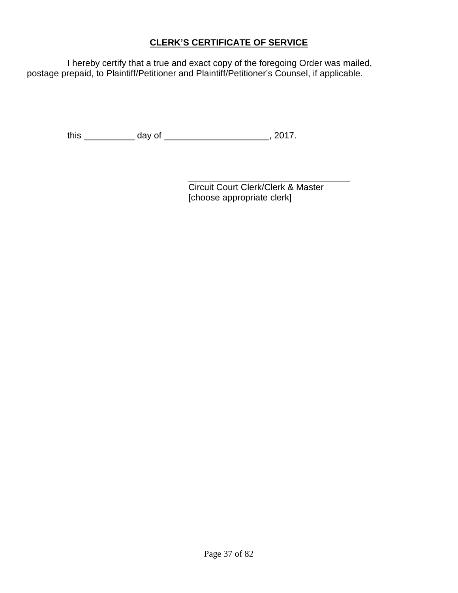#### **CLERK'S CERTIFICATE OF SERVICE**

I hereby certify that a true and exact copy of the foregoing Order was mailed, postage prepaid, to Plaintiff/Petitioner and Plaintiff/Petitioner's Counsel, if applicable.

this  $\_\_\_\_$  day of  $\_\_\_\_\_\_$ , 2017.

 Circuit Court Clerk/Clerk & Master [choose appropriate clerk]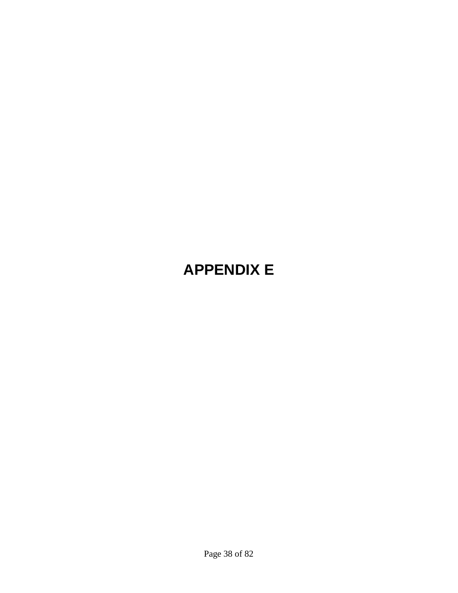## **APPENDIX E**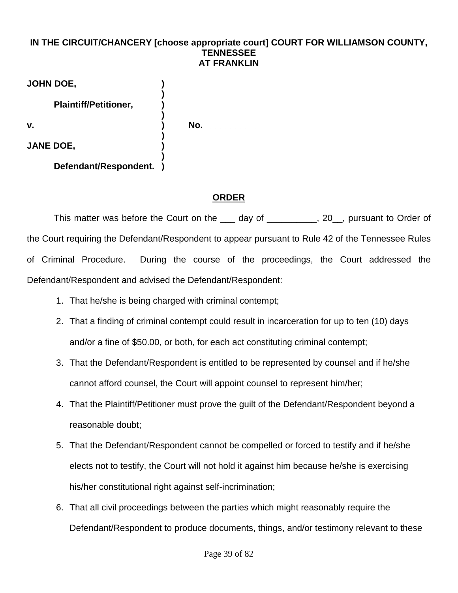#### **IN THE CIRCUIT/CHANCERY [choose appropriate court] COURT FOR WILLIAMSON COUNTY, TENNESSEE AT FRANKLIN**

| <b>JOHN DOE,</b>             |     |
|------------------------------|-----|
| <b>Plaintiff/Petitioner,</b> |     |
| v.                           | No. |
| <b>JANE DOE,</b>             |     |

 **Defendant/Respondent. )** 

#### **ORDER**

This matter was before the Court on the \_\_\_ day of \_\_\_\_\_\_\_\_, 20\_, pursuant to Order of the Court requiring the Defendant/Respondent to appear pursuant to Rule 42 of the Tennessee Rules of Criminal Procedure. During the course of the proceedings, the Court addressed the Defendant/Respondent and advised the Defendant/Respondent:

- 1. That he/she is being charged with criminal contempt;
- 2. That a finding of criminal contempt could result in incarceration for up to ten (10) days and/or a fine of \$50.00, or both, for each act constituting criminal contempt;
- 3. That the Defendant/Respondent is entitled to be represented by counsel and if he/she cannot afford counsel, the Court will appoint counsel to represent him/her;
- 4. That the Plaintiff/Petitioner must prove the guilt of the Defendant/Respondent beyond a reasonable doubt;
- 5. That the Defendant/Respondent cannot be compelled or forced to testify and if he/she elects not to testify, the Court will not hold it against him because he/she is exercising his/her constitutional right against self-incrimination;
- 6. That all civil proceedings between the parties which might reasonably require the Defendant/Respondent to produce documents, things, and/or testimony relevant to these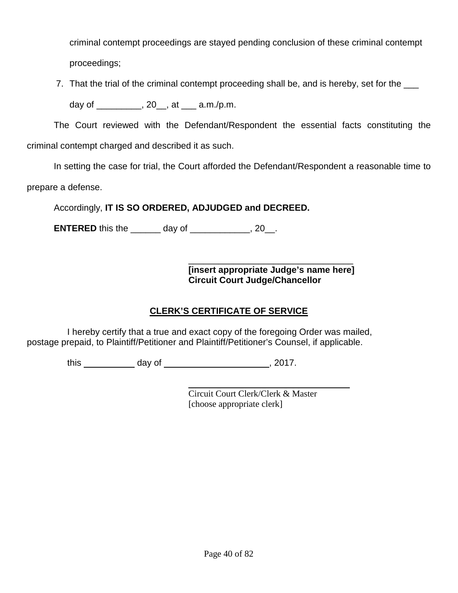criminal contempt proceedings are stayed pending conclusion of these criminal contempt proceedings;

7. That the trial of the criminal contempt proceeding shall be, and is hereby, set for the

day of \_\_\_\_\_\_\_\_\_, 20\_\_, at \_\_\_ a.m./p.m.

The Court reviewed with the Defendant/Respondent the essential facts constituting the criminal contempt charged and described it as such.

In setting the case for trial, the Court afforded the Defendant/Respondent a reasonable time to

prepare a defense.

#### Accordingly, **IT IS SO ORDERED, ADJUDGED and DECREED.**

**ENTERED** this the \_\_\_\_\_\_\_ day of \_\_\_\_\_\_\_\_\_\_\_, 20\_.

| [insert appropriate Judge's name here] |
|----------------------------------------|
| <b>Circuit Court Judge/Chancellor</b>  |

#### **CLERK'S CERTIFICATE OF SERVICE**

I hereby certify that a true and exact copy of the foregoing Order was mailed, postage prepaid, to Plaintiff/Petitioner and Plaintiff/Petitioner's Counsel, if applicable.

 $this$  day of  $\qquad \qquad$  , 2017.

 Circuit Court Clerk/Clerk & Master [choose appropriate clerk]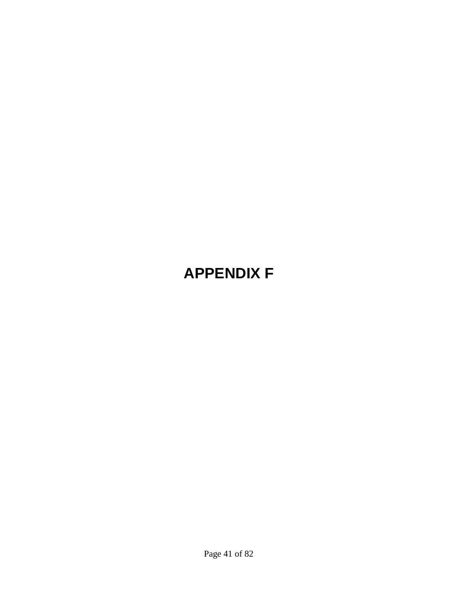# **APPENDIX F**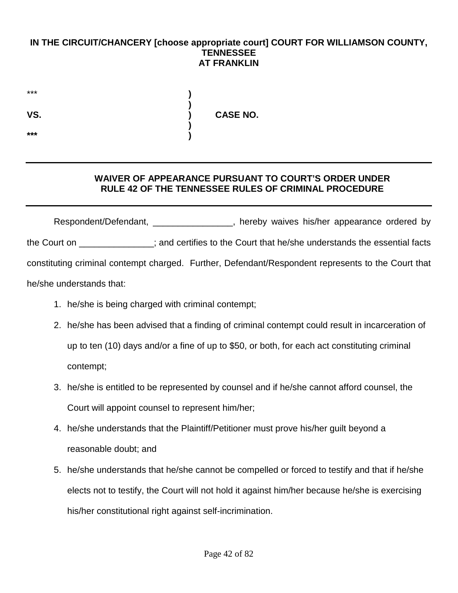#### **IN THE CIRCUIT/CHANCERY [choose appropriate court] COURT FOR WILLIAMSON COUNTY, TENNESSEE AT FRANKLIN**

| $***$ |                 |
|-------|-----------------|
| VS.   | <b>CASE NO.</b> |
| $***$ |                 |

#### **WAIVER OF APPEARANCE PURSUANT TO COURT'S ORDER UNDER RULE 42 OF THE TENNESSEE RULES OF CRIMINAL PROCEDURE**

Respondent/Defendant, \_\_\_\_\_\_\_\_\_\_\_\_\_\_\_\_, hereby waives his/her appearance ordered by the Court on \_\_\_\_\_\_\_\_\_\_\_\_\_\_\_; and certifies to the Court that he/she understands the essential facts constituting criminal contempt charged. Further, Defendant/Respondent represents to the Court that he/she understands that:

- 1. he/she is being charged with criminal contempt;
- 2. he/she has been advised that a finding of criminal contempt could result in incarceration of up to ten (10) days and/or a fine of up to \$50, or both, for each act constituting criminal contempt;
- 3. he/she is entitled to be represented by counsel and if he/she cannot afford counsel, the Court will appoint counsel to represent him/her;
- 4. he/she understands that the Plaintiff/Petitioner must prove his/her guilt beyond a reasonable doubt; and
- 5. he/she understands that he/she cannot be compelled or forced to testify and that if he/she elects not to testify, the Court will not hold it against him/her because he/she is exercising his/her constitutional right against self-incrimination.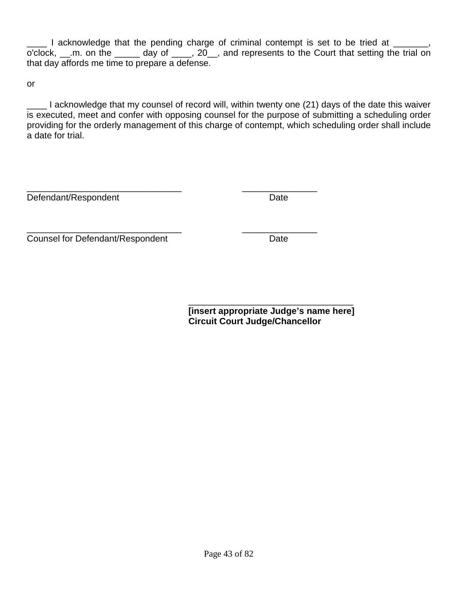\_\_\_\_ I acknowledge that the pending charge of criminal contempt is set to be tried at \_\_\_\_\_\_, o'clock, \_\_.m. on the \_\_\_\_\_ day of \_\_\_\_, 20\_\_, and represents to the Court that setting the trial on that day affords me time to prepare a defense.

or

\_\_\_\_ I acknowledge that my counsel of record will, within twenty one (21) days of the date this waiver is executed, meet and confer with opposing counsel for the purpose of submitting a scheduling order providing for the orderly management of this charge of contempt, which scheduling order shall include a date for trial.

\_\_\_\_\_\_\_\_\_\_\_\_\_\_\_\_\_\_\_\_\_\_\_\_\_\_\_\_\_\_\_ \_\_\_\_\_\_\_\_\_\_\_\_\_\_\_ Defendant/Respondent Date

\_\_\_\_\_\_\_\_\_\_\_\_\_\_\_\_\_\_\_\_\_\_\_\_\_\_\_\_\_\_\_ \_\_\_\_\_\_\_\_\_\_\_\_\_\_\_ Counsel for Defendant/Respondent Date

 $\frac{1}{\sqrt{2}}$  ,  $\frac{1}{\sqrt{2}}$  ,  $\frac{1}{\sqrt{2}}$  ,  $\frac{1}{\sqrt{2}}$  ,  $\frac{1}{\sqrt{2}}$  ,  $\frac{1}{\sqrt{2}}$  ,  $\frac{1}{\sqrt{2}}$  ,  $\frac{1}{\sqrt{2}}$  ,  $\frac{1}{\sqrt{2}}$  ,  $\frac{1}{\sqrt{2}}$  ,  $\frac{1}{\sqrt{2}}$  ,  $\frac{1}{\sqrt{2}}$  ,  $\frac{1}{\sqrt{2}}$  ,  $\frac{1}{\sqrt{2}}$  ,  $\frac{1}{\sqrt{2}}$  **[insert appropriate Judge's name here] Circuit Court Judge/Chancellor**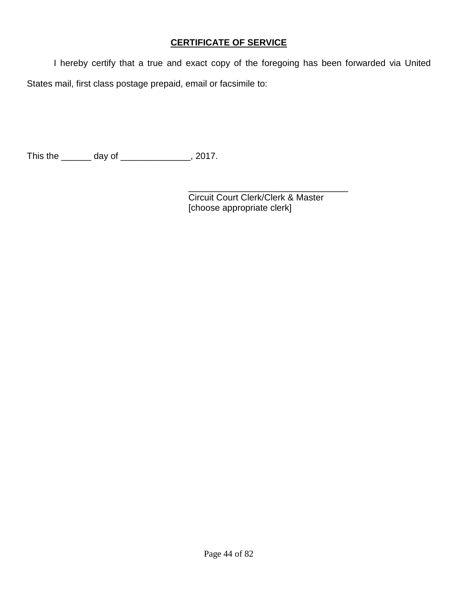#### **CERTIFICATE OF SERVICE**

I hereby certify that a true and exact copy of the foregoing has been forwarded via United States mail, first class postage prepaid, email or facsimile to:

This the \_\_\_\_\_\_ day of \_\_\_\_\_\_\_\_\_\_\_\_\_\_, 2017.

 $\frac{1}{\sqrt{2\pi}}$  , which is the contract of the contract of the contract of the contract of the contract of the contract of the contract of the contract of the contract of the contract of the contract of the contract of the Circuit Court Clerk/Clerk & Master [choose appropriate clerk]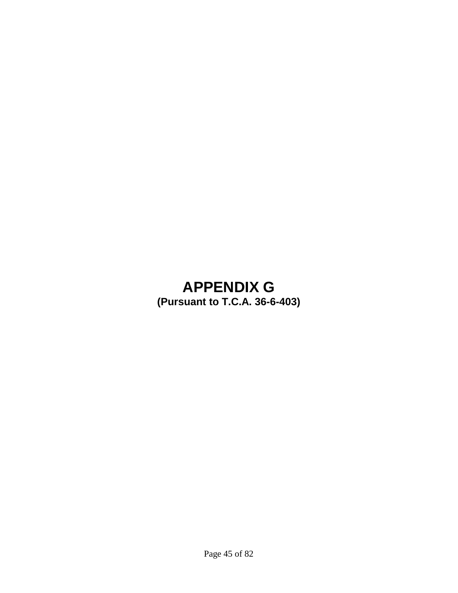### **APPENDIX G (Pursuant to T.C.A. 36-6-403)**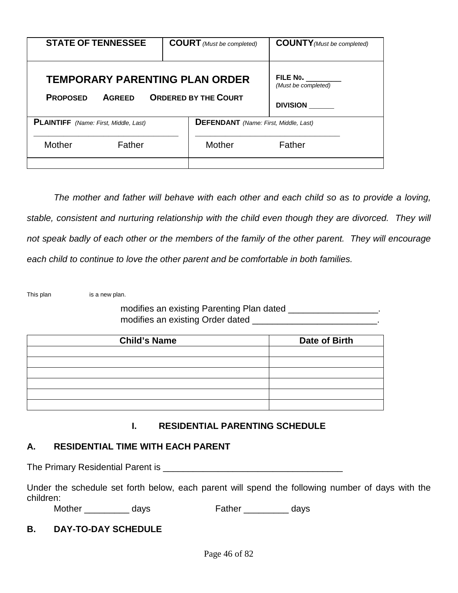| <b>STATE OF TENNESSEE</b>                                                                                | <b>COURT</b> (Must be completed)                            | <b>COUNTY</b> (Must be completed) |
|----------------------------------------------------------------------------------------------------------|-------------------------------------------------------------|-----------------------------------|
| <b>TEMPORARY PARENTING PLAN ORDER</b><br><b>ORDERED BY THE COURT</b><br><b>PROPOSED</b><br><b>AGREED</b> | FILE No. $\qquad$<br>(Must be completed)<br><b>DIVISION</b> |                                   |
| <b>PLAINTIFF</b> (Name: First, Middle, Last)                                                             | <b>DEFENDANT</b> (Name: First, Middle, Last)                |                                   |
| <b>Mother</b><br>Father                                                                                  | <b>Mother</b>                                               | Father                            |

The mother and father will behave with each other and each child so as to provide a loving, stable, consistent and nurturing relationship with the child even though they are divorced. They will not speak badly of each other or the members of the family of the other parent. They will encourage each child to continue to love the other parent and be comfortable in both families.

This plan is a new plan.

modifies an existing Parenting Plan dated \_\_\_\_\_\_\_\_\_\_\_\_\_\_\_\_\_\_\_. modifies an existing Order dated \_\_\_\_\_\_\_\_\_\_\_\_\_\_\_\_\_\_\_\_\_\_\_\_\_\_\_\_\_.

| <b>Child's Name</b> | <b>Date of Birth</b> |
|---------------------|----------------------|
|                     |                      |
|                     |                      |
|                     |                      |
|                     |                      |
|                     |                      |
|                     |                      |

#### **I. RESIDENTIAL PARENTING SCHEDULE**

#### **A. RESIDENTIAL TIME WITH EACH PARENT**

The Primary Residential Parent is \_\_\_\_\_\_\_\_\_\_\_\_\_\_\_\_\_\_\_\_\_\_\_\_\_\_\_\_\_\_\_\_\_\_\_\_

Under the schedule set forth below, each parent will spend the following number of days with the children:

Mother \_\_\_\_\_\_\_\_\_\_\_ days Father \_\_\_\_\_\_\_\_\_ days

#### **B. DAY-TO-DAY SCHEDULE**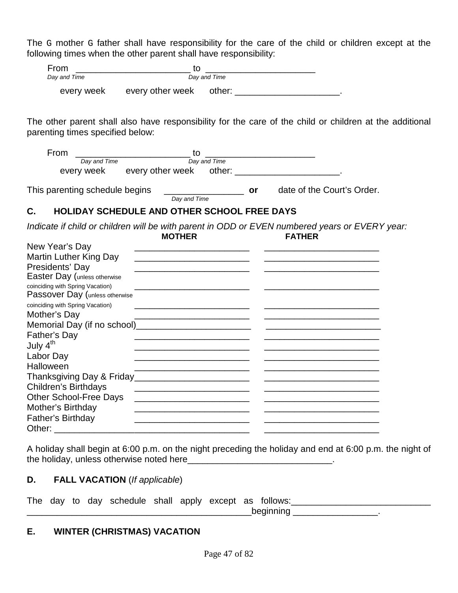The G mother G father shall have responsibility for the care of the child or children except at the following times when the other parent shall have responsibility:

| From                         |                         |  |
|------------------------------|-------------------------|--|
| Day and Time<br>Day and Time |                         |  |
| every week                   | every other week other: |  |

The other parent shall also have responsibility for the care of the child or children at the additional parenting times specified below:

| From |                                | tΟ               |              |    |                            |
|------|--------------------------------|------------------|--------------|----|----------------------------|
|      | Day and Time                   |                  | Day and Time |    |                            |
|      | every week                     | every other week | . other:     |    |                            |
|      | This parenting schedule begins |                  |              | or | date of the Court's Order. |

Day and Time

#### **C. HOLIDAY SCHEDULE AND OTHER SCHOOL FREE DAYS**

Indicate if child or children will be with parent in ODD or EVEN numbered years or EVERY year:<br>
MOTHER<br>
FATHER **MOTHER** 

|                                  | M <sub>111L</sub>                                                                                                    | . |
|----------------------------------|----------------------------------------------------------------------------------------------------------------------|---|
| New Year's Day                   |                                                                                                                      |   |
| <b>Martin Luther King Day</b>    |                                                                                                                      |   |
| Presidents' Day                  |                                                                                                                      |   |
| Easter Day (unless otherwise     |                                                                                                                      |   |
| coinciding with Spring Vacation) |                                                                                                                      |   |
| Passover Day (unless otherwise   |                                                                                                                      |   |
| coinciding with Spring Vacation) |                                                                                                                      |   |
| Mother's Day                     | <u> 1989 - Johann Stein, mars an deutscher Stein und der Stein und der Stein und der Stein und der Stein und der</u> |   |
|                                  |                                                                                                                      |   |
| Father's Day                     |                                                                                                                      |   |
| July 4 <sup>th</sup>             |                                                                                                                      |   |
| Labor Day                        |                                                                                                                      |   |
| Halloween                        |                                                                                                                      |   |
|                                  |                                                                                                                      |   |
| <b>Children's Birthdays</b>      |                                                                                                                      |   |
| <b>Other School-Free Days</b>    | the contract of the contract of the contract of the contract of the contract of                                      |   |
| Mother's Birthday                |                                                                                                                      |   |
| <b>Father's Birthday</b>         |                                                                                                                      |   |
| Other:                           |                                                                                                                      |   |

A holiday shall begin at 6:00 p.m. on the night preceding the holiday and end at 6:00 p.m. the night of the holiday, unless otherwise noted here\_\_\_\_\_\_\_\_\_\_\_\_\_\_\_\_\_\_\_\_\_\_\_\_\_\_\_\_\_.

#### **D.** FALL VACATION (If applicable)

|  |  | The day to day schedule shall apply except as follows: |  |  |           |  |
|--|--|--------------------------------------------------------|--|--|-----------|--|
|  |  |                                                        |  |  | beginning |  |

### **E. WINTER (CHRISTMAS) VACATION**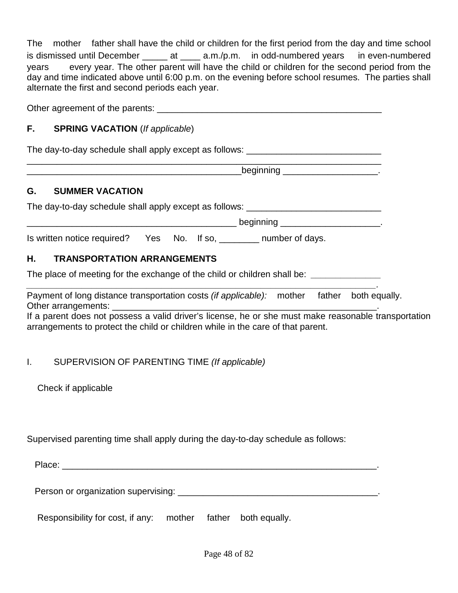The mother father shall have the child or children for the first period from the day and time school is dismissed until December \_\_\_\_\_ at \_\_\_\_ a.m./p.m. in odd-numbered years in even-numbered yearsevery year. The other parent will have the child or children for the second period from the day and time indicated above until 6:00 p.m. on the evening before school resumes. The parties shall alternate the first and second periods each year.

Other agreement of the parents:  $\Box$ 

#### **F.** SPRING VACATION (If applicable)

The day-to-day schedule shall apply except as follows: \_\_\_\_\_\_\_\_\_\_\_\_\_\_\_\_\_\_\_\_\_\_\_\_\_

\_\_\_\_\_\_\_\_\_\_\_\_\_\_\_\_\_\_\_\_\_\_\_\_\_\_\_\_\_\_\_\_\_\_\_\_\_\_\_\_\_\_\_\_\_\_\_\_\_\_\_\_\_\_\_\_\_\_\_\_\_\_\_\_\_\_\_\_\_\_\_ \_\_\_\_\_\_\_\_\_\_\_\_\_\_\_\_\_\_\_\_\_\_\_\_\_\_\_\_\_\_\_\_\_\_\_\_\_\_\_\_\_\_\_beginning \_\_\_\_\_\_\_\_\_\_\_\_\_\_\_\_\_\_\_.

#### **G. SUMMER VACATION**

The day-to-day schedule shall apply except as follows:

\_\_\_\_\_\_\_\_\_\_\_\_\_\_\_\_\_\_\_\_\_\_\_\_\_\_\_\_\_\_\_\_\_\_\_\_\_\_\_\_\_\_ beginning \_\_\_\_\_\_\_\_\_\_\_\_\_\_\_\_\_\_\_\_.

Is written notice required? Yes No. If so, \_\_\_\_\_\_\_\_ number of days.

#### **H. TRANSPORTATION ARRANGEMENTS**

The place of meeting for the exchange of the child or children shall be: \_\_\_\_\_\_\_\_\_\_\_\_\_

\_\_\_\_\_\_\_\_\_\_\_\_\_\_\_\_\_\_\_\_\_\_\_\_\_\_\_\_\_\_\_\_\_\_\_\_\_\_\_\_\_\_\_\_\_\_\_\_\_\_\_\_\_\_\_\_\_\_\_\_\_\_\_\_\_\_\_\_\_\_. Payment of long distance transportation costs *(if applicable):* mother father both equally. Other arrangements:

If a parent does not possess a valid driver's license, he or she must make reasonable transportation arrangements to protect the child or children while in the care of that parent.

#### I. SUPERVISION OF PARENTING TIME (If applicable)

Check if applicable

Supervised parenting time shall apply during the day-to-day schedule as follows:

Place: \_\_\_\_\_\_\_\_\_\_\_\_\_\_\_\_\_\_\_\_\_\_\_\_\_\_\_\_\_\_\_\_\_\_\_\_\_\_\_\_\_\_\_\_\_\_\_\_\_\_\_\_\_\_\_\_\_\_\_\_\_\_\_.

Person or organization supervising:  $\blacksquare$ 

Responsibility for cost, if any:mother father both equally.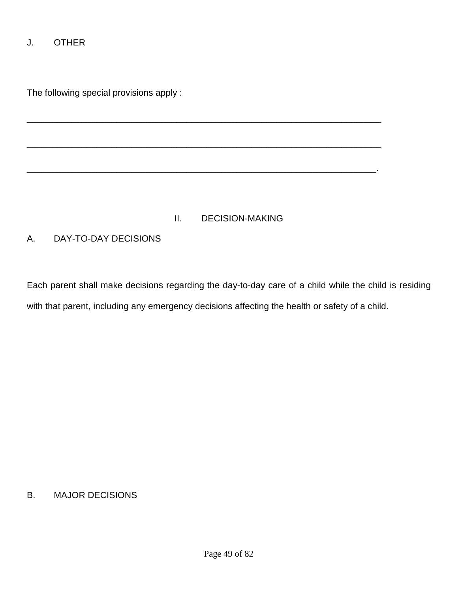#### J. OTHER

The following special provisions apply :

#### II. DECISION-MAKING

\_\_\_\_\_\_\_\_\_\_\_\_\_\_\_\_\_\_\_\_\_\_\_\_\_\_\_\_\_\_\_\_\_\_\_\_\_\_\_\_\_\_\_\_\_\_\_\_\_\_\_\_\_\_\_\_\_\_\_\_\_\_\_\_\_\_\_\_\_\_\_

\_\_\_\_\_\_\_\_\_\_\_\_\_\_\_\_\_\_\_\_\_\_\_\_\_\_\_\_\_\_\_\_\_\_\_\_\_\_\_\_\_\_\_\_\_\_\_\_\_\_\_\_\_\_\_\_\_\_\_\_\_\_\_\_\_\_\_\_\_\_\_

\_\_\_\_\_\_\_\_\_\_\_\_\_\_\_\_\_\_\_\_\_\_\_\_\_\_\_\_\_\_\_\_\_\_\_\_\_\_\_\_\_\_\_\_\_\_\_\_\_\_\_\_\_\_\_\_\_\_\_\_\_\_\_\_\_\_\_\_\_\_.

#### A. DAY-TO-DAY DECISIONS

Each parent shall make decisions regarding the day-to-day care of a child while the child is residing with that parent, including any emergency decisions affecting the health or safety of a child.

#### B. MAJOR DECISIONS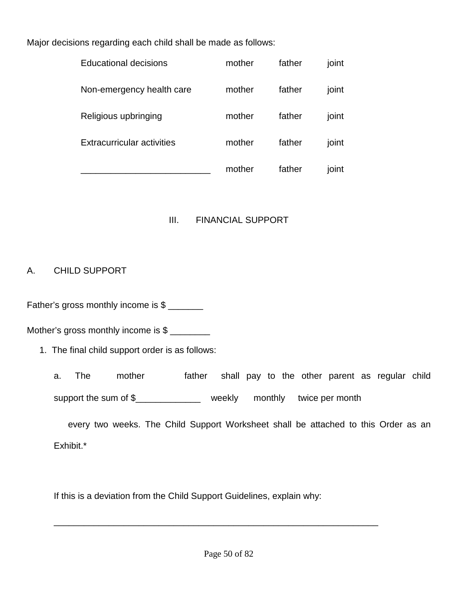Major decisions regarding each child shall be made as follows:

| <b>Educational decisions</b>      | mother | father | joint |
|-----------------------------------|--------|--------|-------|
| Non-emergency health care         | mother | father | joint |
| Religious upbringing              | mother | father | joint |
| <b>Extracurricular activities</b> | mother | father | joint |
|                                   | mother | father | joint |

#### III. FINANCIAL SUPPORT

#### A. CHILD SUPPORT

Father's gross monthly income is \$

Mother's gross monthly income is \$

1. The final child support order is as follows:

a. The mother father shall pay to the other parent as regular child support the sum of \$\_\_\_\_\_\_\_\_\_\_\_\_\_\_\_\_\_ weekly monthly twice per month

 every two weeks. The Child Support Worksheet shall be attached to this Order as an Exhibit.\*

If this is a deviation from the Child Support Guidelines, explain why:

\_\_\_\_\_\_\_\_\_\_\_\_\_\_\_\_\_\_\_\_\_\_\_\_\_\_\_\_\_\_\_\_\_\_\_\_\_\_\_\_\_\_\_\_\_\_\_\_\_\_\_\_\_\_\_\_\_\_\_\_\_\_\_\_\_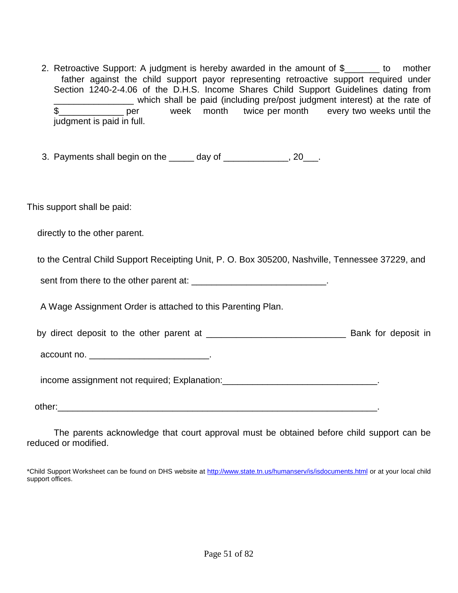2. Retroactive Support: A judgment is hereby awarded in the amount of \$\_\_\_\_\_\_\_ to mother father against the child support payor representing retroactive support required under Section 1240-2-4.06 of the D.H.S. Income Shares Child Support Guidelines dating from \_\_\_\_\_\_\_\_\_\_\_\_\_\_\_\_ which shall be paid (including pre/post judgment interest) at the rate of \$\_\_\_\_\_\_\_\_\_\_\_\_\_ per week month twice per month every two weeks until the judgment is paid in full.

3. Payments shall begin on the day of electron containing the system of  $\sim$  20

This support shall be paid:

directly to the other parent.

to the Central Child Support Receipting Unit, P. O. Box 305200, Nashville, Tennessee 37229, and

sent from there to the other parent at:  $\blacksquare$ 

A Wage Assignment Order is attached to this Parenting Plan.

by direct deposit to the other parent at \_\_\_\_\_\_\_\_\_\_\_\_\_\_\_\_\_\_\_\_\_\_\_\_\_\_\_\_ Bank for deposit in

account no. \_\_\_\_\_\_\_\_\_\_\_\_\_\_\_\_\_\_\_\_\_\_\_\_.

income assignment not required; Explanation: \_\_\_\_\_\_\_\_\_\_\_\_\_\_\_\_\_\_\_\_\_\_\_\_\_\_\_\_\_\_\_\_\_\_\_.

other:

The parents acknowledge that court approval must be obtained before child support can be reduced or modified.

\*Child Support Worksheet can be found on DHS website at http://www.state.tn.us/humanserv/is/isdocuments.html or at your local child support offices.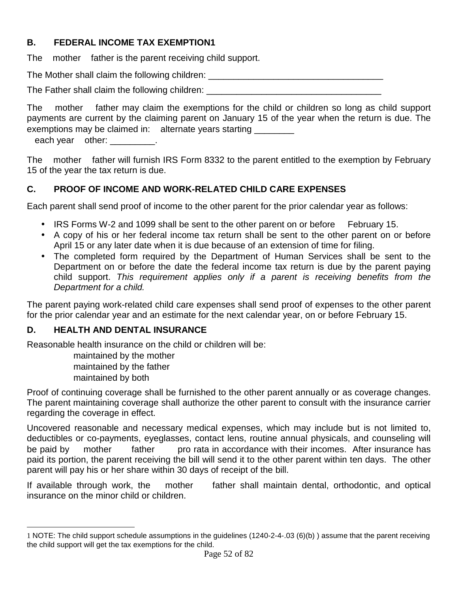#### **B. FEDERAL INCOME TAX EXEMPTION1**

The mother father is the parent receiving child support.

The Mother shall claim the following children:

The Father shall claim the following children:

The mother father may claim the exemptions for the child or children so long as child support payments are current by the claiming parent on January 15 of the year when the return is due. The exemptions may be claimed in: alternate years starting \_\_\_\_\_\_\_\_

each year other: The control of the control of the control of the control of the control of the control of the control of the control of the control of the control of the control of the control of the control of the contro

The mother father will furnish IRS Form 8332 to the parent entitled to the exemption by February 15 of the year the tax return is due.

#### **C. PROOF OF INCOME AND WORK-RELATED CHILD CARE EXPENSES**

Each parent shall send proof of income to the other parent for the prior calendar year as follows:

- IRS Forms W-2 and 1099 shall be sent to the other parent on or beforeFebruary 15.
- A copy of his or her federal income tax return shall be sent to the other parent on or before April 15 or any later date when it is due because of an extension of time for filing.
- The completed form required by the Department of Human Services shall be sent to the Department on or before the date the federal income tax return is due by the parent paying child support. This requirement applies only if a parent is receiving benefits from the Department for a child.

The parent paying work-related child care expenses shall send proof of expenses to the other parent for the prior calendar year and an estimate for the next calendar year, on or before February 15.

#### **D. HEALTH AND DENTAL INSURANCE**

Reasonable health insurance on the child or children will be:

maintained by the mother maintained by the father maintained by both

 $\overline{a}$ 

Proof of continuing coverage shall be furnished to the other parent annually or as coverage changes. The parent maintaining coverage shall authorize the other parent to consult with the insurance carrier regarding the coverage in effect.

Uncovered reasonable and necessary medical expenses, which may include but is not limited to, deductibles or co-payments, eyeglasses, contact lens, routine annual physicals, and counseling will be paid by mother father pro rata in accordance with their incomes. After insurance has paid its portion, the parent receiving the bill will send it to the other parent within ten days. The other parent will pay his or her share within 30 days of receipt of the bill.

If available through work, the mother father shall maintain dental, orthodontic, and optical insurance on the minor child or children.

<sup>1</sup> NOTE: The child support schedule assumptions in the guidelines (1240-2-4-.03 (6)(b) ) assume that the parent receiving the child support will get the tax exemptions for the child.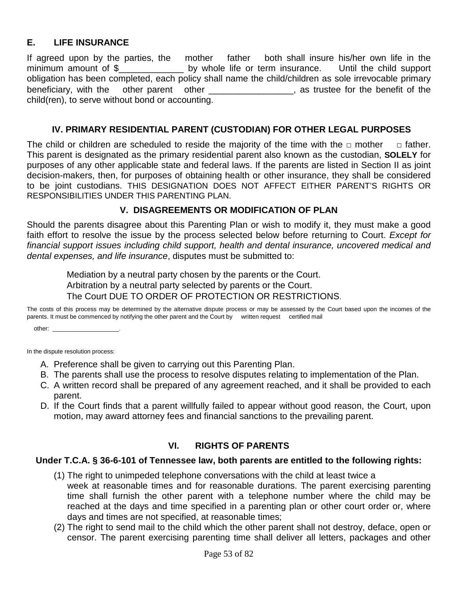#### **E. LIFE INSURANCE**

If agreed upon by the parties, the mother father both shall insure his/her own life in the minimum amount of \$ by whole life or term insurance. Until the child support obligation has been completed, each policy shall name the child/children as sole irrevocable primary beneficiary, with the other parent other **the set of the set of the benefit of the** benefit of the child(ren), to serve without bond or accounting.

#### **IV. PRIMARY RESIDENTIAL PARENT (CUSTODIAN) FOR OTHER LEGAL PURPOSES**

The child or children are scheduled to reside the majority of the time with the  $\Box$  mother  $\Box$  father. This parent is designated as the primary residential parent also known as the custodian, **SOLELY** for purposes of any other applicable state and federal laws. If the parents are listed in Section II as joint decision-makers, then, for purposes of obtaining health or other insurance, they shall be considered to be joint custodians. THIS DESIGNATION DOES NOT AFFECT EITHER PARENT'S RIGHTS OR RESPONSIBILITIES UNDER THIS PARENTING PLAN.

#### **V. DISAGREEMENTS OR MODIFICATION OF PLAN**

Should the parents disagree about this Parenting Plan or wish to modify it, they must make a good faith effort to resolve the issue by the process selected below before returning to Court. Except for financial support issues including child support, health and dental insurance, uncovered medical and dental expenses, and life insurance, disputes must be submitted to:

 Mediation by a neutral party chosen by the parents or the Court. Arbitration by a neutral party selected by parents or the Court. The Court DUE TO ORDER OF PROTECTION OR RESTRICTIONS.

The costs of this process may be determined by the alternative dispute process or may be assessed by the Court based upon the incomes of the parents. It must be commenced by notifying the other parent and the Court by written request certified mail

other:  $\overline{\phantom{a}}$ 

In the dispute resolution process:

- A. Preference shall be given to carrying out this Parenting Plan.
- B. The parents shall use the process to resolve disputes relating to implementation of the Plan.
- C. A written record shall be prepared of any agreement reached, and it shall be provided to each parent.
- D. If the Court finds that a parent willfully failed to appear without good reason, the Court, upon motion, may award attorney fees and financial sanctions to the prevailing parent.

#### **VI. RIGHTS OF PARENTS**

#### **Under T.C.A. § 36-6-101 of Tennessee law, both parents are entitled to the following rights:**

- (1) The right to unimpeded telephone conversations with the child at least twice a week at reasonable times and for reasonable durations. The parent exercising parenting time shall furnish the other parent with a telephone number where the child may be reached at the days and time specified in a parenting plan or other court order or, where days and times are not specified, at reasonable times;
- (2) The right to send mail to the child which the other parent shall not destroy, deface, open or censor. The parent exercising parenting time shall deliver all letters, packages and other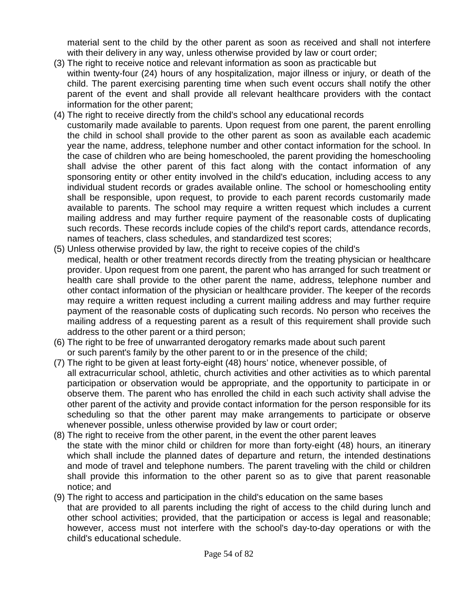material sent to the child by the other parent as soon as received and shall not interfere with their delivery in any way, unless otherwise provided by law or court order;

- (3) The right to receive notice and relevant information as soon as practicable but within twenty-four (24) hours of any hospitalization, major illness or injury, or death of the child. The parent exercising parenting time when such event occurs shall notify the other parent of the event and shall provide all relevant healthcare providers with the contact information for the other parent;
- (4) The right to receive directly from the child's school any educational records customarily made available to parents. Upon request from one parent, the parent enrolling the child in school shall provide to the other parent as soon as available each academic year the name, address, telephone number and other contact information for the school. In the case of children who are being homeschooled, the parent providing the homeschooling shall advise the other parent of this fact along with the contact information of any sponsoring entity or other entity involved in the child's education, including access to any individual student records or grades available online. The school or homeschooling entity shall be responsible, upon request, to provide to each parent records customarily made available to parents. The school may require a written request which includes a current mailing address and may further require payment of the reasonable costs of duplicating such records. These records include copies of the child's report cards, attendance records, names of teachers, class schedules, and standardized test scores;
- (5) Unless otherwise provided by law, the right to receive copies of the child's medical, health or other treatment records directly from the treating physician or healthcare provider. Upon request from one parent, the parent who has arranged for such treatment or health care shall provide to the other parent the name, address, telephone number and other contact information of the physician or healthcare provider. The keeper of the records may require a written request including a current mailing address and may further require payment of the reasonable costs of duplicating such records. No person who receives the mailing address of a requesting parent as a result of this requirement shall provide such address to the other parent or a third person;
- (6) The right to be free of unwarranted derogatory remarks made about such parent or such parent's family by the other parent to or in the presence of the child;
- (7) The right to be given at least forty-eight (48) hours' notice, whenever possible, of all extracurricular school, athletic, church activities and other activities as to which parental participation or observation would be appropriate, and the opportunity to participate in or observe them. The parent who has enrolled the child in each such activity shall advise the other parent of the activity and provide contact information for the person responsible for its scheduling so that the other parent may make arrangements to participate or observe whenever possible, unless otherwise provided by law or court order;
- (8) The right to receive from the other parent, in the event the other parent leaves the state with the minor child or children for more than forty-eight (48) hours, an itinerary which shall include the planned dates of departure and return, the intended destinations and mode of travel and telephone numbers. The parent traveling with the child or children shall provide this information to the other parent so as to give that parent reasonable notice; and
- (9) The right to access and participation in the child's education on the same bases that are provided to all parents including the right of access to the child during lunch and other school activities; provided, that the participation or access is legal and reasonable; however, access must not interfere with the school's day-to-day operations or with the child's educational schedule.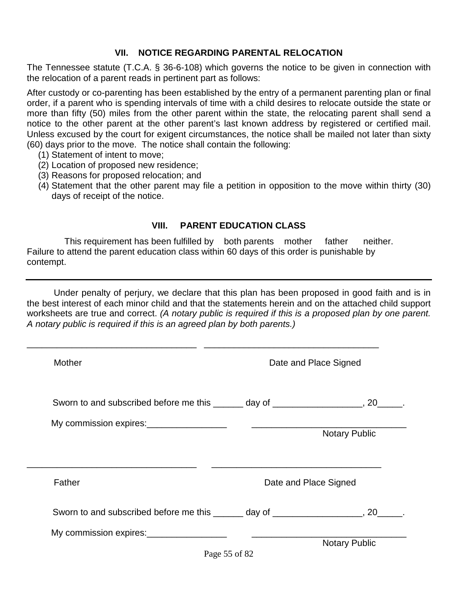#### **VII. NOTICE REGARDING PARENTAL RELOCATION**

The Tennessee statute (T.C.A. § 36-6-108) which governs the notice to be given in connection with the relocation of a parent reads in pertinent part as follows:

After custody or co-parenting has been established by the entry of a permanent parenting plan or final order, if a parent who is spending intervals of time with a child desires to relocate outside the state or more than fifty (50) miles from the other parent within the state, the relocating parent shall send a notice to the other parent at the other parent's last known address by registered or certified mail. Unless excused by the court for exigent circumstances, the notice shall be mailed not later than sixty (60) days prior to the move. The notice shall contain the following:

- (1) Statement of intent to move;
- (2) Location of proposed new residence;
- (3) Reasons for proposed relocation; and
- (4) Statement that the other parent may file a petition in opposition to the move within thirty (30) days of receipt of the notice.

#### **VIII. PARENT EDUCATION CLASS**

This requirement has been fulfilled by both parents mother father neither. Failure to attend the parent education class within 60 days of this order is punishable by contempt.

\_\_\_\_\_\_\_\_\_\_\_\_\_\_\_\_\_\_\_\_\_\_\_\_\_\_\_\_\_\_\_\_\_\_ \_\_\_\_\_\_\_\_\_\_\_\_\_\_\_\_\_\_\_\_\_\_\_\_\_\_\_\_\_\_\_\_\_\_\_

Under penalty of perjury, we declare that this plan has been proposed in good faith and is in the best interest of each minor child and that the statements herein and on the attached child support worksheets are true and correct. (A notary public is required if this is a proposed plan by one parent. A notary public is required if this is an agreed plan by both parents.)

| <b>Mother</b>                                                                      | Date and Place Signed |                      |
|------------------------------------------------------------------------------------|-----------------------|----------------------|
| Sworn to and subscribed before me this ______ day of ___________________, 20_____. |                       |                      |
|                                                                                    |                       | <b>Notary Public</b> |
| Father                                                                             | Date and Place Signed |                      |
| Sworn to and subscribed before me this ______ day of __________________, 20_____.  |                       |                      |
|                                                                                    |                       | <b>Notary Public</b> |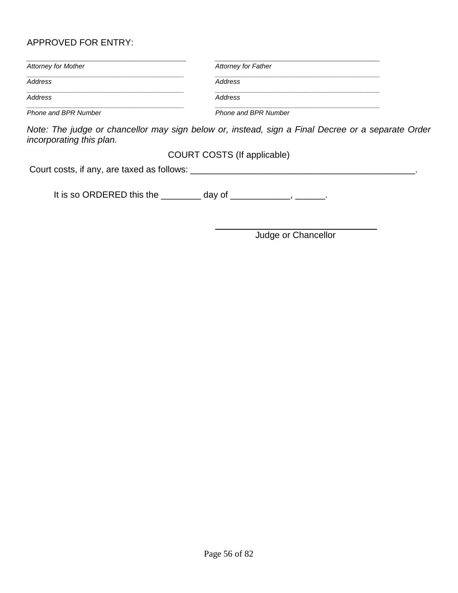#### APPROVED FOR ENTRY:

| <b>Attorney for Mother</b>  | <b>Attorney for Father</b>  |
|-----------------------------|-----------------------------|
| Address                     | Address                     |
| Address                     | Address                     |
| <b>Phone and BPR Number</b> | <b>Phone and BPR Number</b> |

Note: The judge or chancellor may sign below or, instead, sign a Final Decree or a separate Order incorporating this plan.

COURT COSTS (If applicable)

Court costs, if any, are taxed as follows: \_\_\_\_\_\_\_\_\_\_\_\_\_\_\_\_\_\_\_\_\_\_\_\_\_\_\_\_\_\_\_\_\_\_\_\_\_\_\_\_\_\_\_\_\_.

It is so ORDERED this the \_\_\_\_\_\_\_\_\_ day of \_\_\_\_\_\_\_\_\_\_\_, \_\_\_\_\_\_.

Judge or Chancellor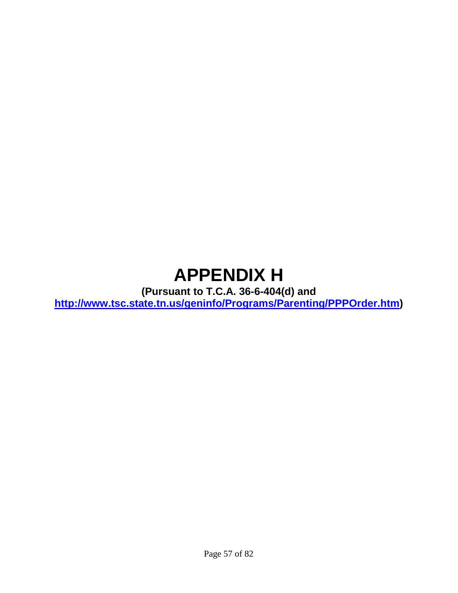# **APPENDIX H**

**(Pursuant to T.C.A. 36-6-404(d) and** 

**http://www.tsc.state.tn.us/geninfo/Programs/Parenting/PPPOrder.htm)**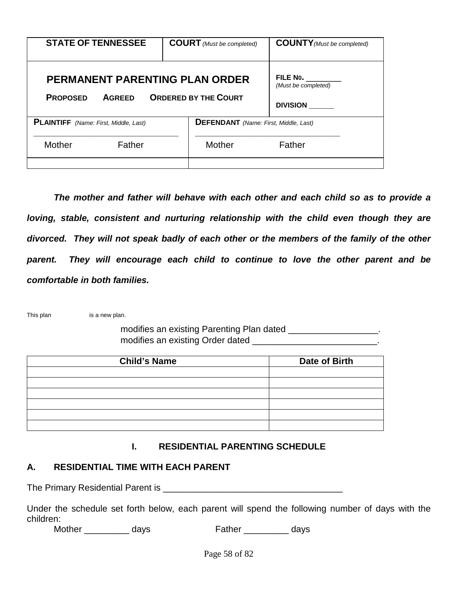| <b>STATE OF TENNESSEE</b>                                          | <b>COURT</b> (Must be completed)             | <b>COUNTY</b> (Must be completed)                         |
|--------------------------------------------------------------------|----------------------------------------------|-----------------------------------------------------------|
| PERMANENT PARENTING PLAN ORDER<br><b>PROPOSED</b><br><b>AGREED</b> | <b>ORDERED BY THE COURT</b>                  | FILE No. $\frac{1}{2}$<br>(Must be completed)<br>DIVISION |
| <b>PLAINTIFF</b> (Name: First, Middle, Last)                       | <b>DEFENDANT</b> (Name: First, Middle, Last) |                                                           |
| <b>Mother</b><br>Father                                            | <b>Mother</b>                                | Father                                                    |

**The mother and father will behave with each other and each child so as to provide a loving, stable, consistent and nurturing relationship with the child even though they are divorced. They will not speak badly of each other or the members of the family of the other parent. They will encourage each child to continue to love the other parent and be comfortable in both families.** 

This plan is a new plan.

modifies an existing Parenting Plan dated \_\_\_\_\_\_\_\_\_\_\_\_\_\_\_\_\_\_. modifies an existing Order dated \_\_\_\_\_\_\_\_\_\_\_\_\_\_\_\_\_\_\_\_\_\_\_\_\_\_.

| <b>Child's Name</b> | <b>Date of Birth</b> |
|---------------------|----------------------|
|                     |                      |
|                     |                      |
|                     |                      |
|                     |                      |
|                     |                      |
|                     |                      |

#### **I. RESIDENTIAL PARENTING SCHEDULE**

#### **A. RESIDENTIAL TIME WITH EACH PARENT**

The Primary Residential Parent is \_\_\_\_\_\_\_\_\_\_\_\_\_\_\_\_\_\_\_\_\_\_\_\_\_\_\_\_\_\_\_\_\_\_\_\_

Under the schedule set forth below, each parent will spend the following number of days with the children:<br>Mother \_\_\_\_\_\_\_\_\_\_\_ days

Father \_\_\_\_\_\_\_\_\_ days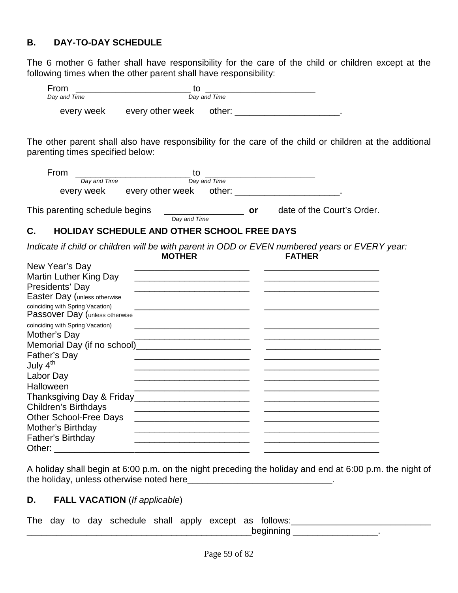#### **B. DAY-TO-DAY SCHEDULE**

The G mother G father shall have responsibility for the care of the child or children except at the following times when the other parent shall have responsibility:

From \_\_\_\_\_\_\_\_\_\_\_\_\_\_\_\_\_\_\_\_\_\_\_ to \_\_\_\_\_\_\_\_\_\_\_\_\_\_\_\_\_\_\_\_\_\_ Day and Time **Day and Time** every week every other week other: \_\_\_\_\_\_\_\_\_\_\_\_\_\_\_\_\_\_\_\_\_\_.

The other parent shall also have responsibility for the care of the child or children at the additional parenting times specified below:

| From                                                     | to                                                   |              |                                                                                                                 |
|----------------------------------------------------------|------------------------------------------------------|--------------|-----------------------------------------------------------------------------------------------------------------|
| Dav and Time                                             |                                                      | Dav and Time |                                                                                                                 |
| every week                                               |                                                      |              | every other week other: _______________________.                                                                |
| This parenting schedule begins                           |                                                      | or           | date of the Court's Order.                                                                                      |
|                                                          | Day and Time                                         |              |                                                                                                                 |
| HOLIDAY SCHEDULE AND OTHER SCHOOL FREE DAYS<br>С.        |                                                      |              |                                                                                                                 |
|                                                          | <b>MOTHER</b>                                        |              | Indicate if child or children will be with parent in ODD or EVEN numbered years or EVERY year:<br><b>FATHER</b> |
| New Year's Day                                           |                                                      |              |                                                                                                                 |
| Martin Luther King Day                                   |                                                      |              |                                                                                                                 |
| Presidents' Day                                          |                                                      |              |                                                                                                                 |
| Easter Day (unless otherwise                             |                                                      |              |                                                                                                                 |
| coinciding with Spring Vacation)                         | <u> 1990 - Johann John Stone, mars et al. (1990)</u> |              |                                                                                                                 |
| Passover Day (unless otherwise                           |                                                      |              |                                                                                                                 |
| coinciding with Spring Vacation)<br>Mother's Day         |                                                      |              |                                                                                                                 |
| Memorial Day (if no school)_____________________________ |                                                      |              |                                                                                                                 |
| Father's Day                                             |                                                      |              |                                                                                                                 |
| July 4 <sup>th</sup>                                     |                                                      |              |                                                                                                                 |
| Labor Day                                                |                                                      |              |                                                                                                                 |
| Halloween                                                |                                                      |              |                                                                                                                 |
|                                                          |                                                      |              |                                                                                                                 |
| <b>Children's Birthdays</b>                              |                                                      |              |                                                                                                                 |
| <b>Other School-Free Days</b>                            |                                                      |              |                                                                                                                 |
| Mother's Birthday                                        |                                                      |              |                                                                                                                 |
| <b>Father's Birthday</b>                                 |                                                      |              |                                                                                                                 |
| Other:                                                   |                                                      |              |                                                                                                                 |

A holiday shall begin at 6:00 p.m. on the night preceding the holiday and end at 6:00 p.m. the night of the holiday, unless otherwise noted here\_\_\_\_\_\_\_\_\_\_\_\_\_\_\_\_\_\_\_\_\_\_\_\_\_\_\_\_\_.

#### **D.** FALL VACATION (If applicable)

| The |  | day to day schedule shall apply except as follows: |  |  |           |  |
|-----|--|----------------------------------------------------|--|--|-----------|--|
|     |  |                                                    |  |  | beainning |  |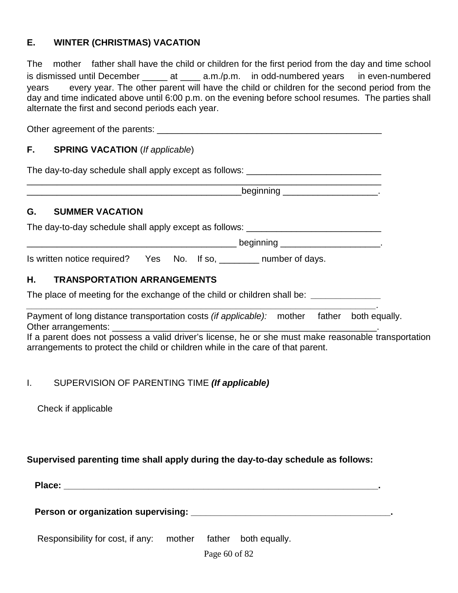#### **E. WINTER (CHRISTMAS) VACATION**

The mother father shall have the child or children for the first period from the day and time school is dismissed until December at \_\_\_\_ a.m./p.m. in odd-numbered years in even-numbered yearsevery year. The other parent will have the child or children for the second period from the day and time indicated above until 6:00 p.m. on the evening before school resumes. The parties shall alternate the first and second periods each year.

Other agreement of the parents: \_\_\_\_\_\_\_\_\_\_\_\_\_\_\_\_\_\_\_\_\_\_\_\_\_\_\_\_\_\_\_\_\_\_\_\_\_\_\_\_\_\_\_\_\_

#### **F.** SPRING VACATION (If applicable)

The day-to-day schedule shall apply except as follows:

\_\_\_\_\_\_\_\_\_\_\_\_\_\_\_\_\_\_\_\_\_\_\_\_\_\_\_\_\_\_\_\_\_\_\_\_\_\_\_\_\_\_\_\_\_\_\_\_\_\_\_\_\_\_\_\_\_\_\_\_\_\_\_\_\_\_\_\_\_\_\_

\_\_\_\_\_\_\_\_\_\_\_\_\_\_\_\_\_\_\_\_\_\_\_\_\_\_\_\_\_\_\_\_\_\_\_\_\_\_\_\_\_\_\_beginning \_\_\_\_\_\_\_\_\_\_\_\_\_\_\_\_\_\_\_.

#### **G. SUMMER VACATION**

The day-to-day schedule shall apply except as follows: \_

\_\_\_\_\_\_\_\_\_\_\_\_\_\_\_\_\_\_\_\_\_\_\_\_\_\_\_\_\_\_\_\_\_\_\_\_\_\_\_\_\_\_ beginning \_\_\_\_\_\_\_\_\_\_\_\_\_\_\_\_\_\_\_\_.

\_\_\_\_\_\_\_\_\_\_\_\_\_\_\_\_\_\_\_\_\_\_\_\_\_\_\_\_\_\_\_\_\_\_\_\_\_\_\_\_\_\_\_\_\_\_\_\_\_\_\_\_\_\_\_\_\_\_\_\_\_\_\_\_\_\_\_\_\_\_.

Is written notice required? Yes No. If so, \_\_\_\_\_\_\_\_ number of days.

#### **H. TRANSPORTATION ARRANGEMENTS**

The place of meeting for the exchange of the child or children shall be: \_\_\_\_\_\_\_\_\_\_\_\_\_

Payment of long distance transportation costs (if applicable): mother father both equally. Other arrangements:

If a parent does not possess a valid driver's license, he or she must make reasonable transportation arrangements to protect the child or children while in the care of that parent.

#### I. SUPERVISION OF PARENTING TIME **(If applicable)**

Check if applicable

#### **Supervised parenting time shall apply during the day-to-day schedule as follows:**

 **Place:**  $\blacksquare$ 

**Person or organization supervising: Person or organization supervising:** 

Responsibility for cost, if any:mother father both equally.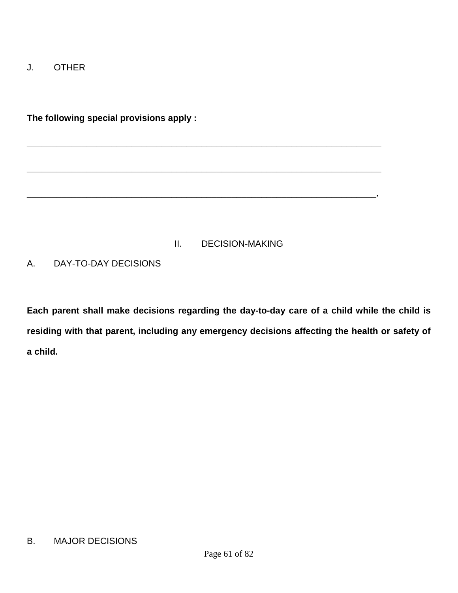#### J. OTHER

#### **The following special provisions apply :**

#### II. DECISION-MAKING

**\_\_\_\_\_\_\_\_\_\_\_\_\_\_\_\_\_\_\_\_\_\_\_\_\_\_\_\_\_\_\_\_\_\_\_\_\_\_\_\_\_\_\_\_\_\_\_\_\_\_\_\_\_\_\_\_\_\_\_\_\_\_\_\_\_\_\_\_\_\_\_** 

**\_\_\_\_\_\_\_\_\_\_\_\_\_\_\_\_\_\_\_\_\_\_\_\_\_\_\_\_\_\_\_\_\_\_\_\_\_\_\_\_\_\_\_\_\_\_\_\_\_\_\_\_\_\_\_\_\_\_\_\_\_\_\_\_\_\_\_\_\_\_\_** 

**\_\_\_\_\_\_\_\_\_\_\_\_\_\_\_\_\_\_\_\_\_\_\_\_\_\_\_\_\_\_\_\_\_\_\_\_\_\_\_\_\_\_\_\_\_\_\_\_\_\_\_\_\_\_\_\_\_\_\_\_\_\_\_\_\_\_\_\_\_\_.** 

#### A. DAY-TO-DAY DECISIONS

**Each parent shall make decisions regarding the day-to-day care of a child while the child is residing with that parent, including any emergency decisions affecting the health or safety of a child.** 

#### B. MAJOR DECISIONS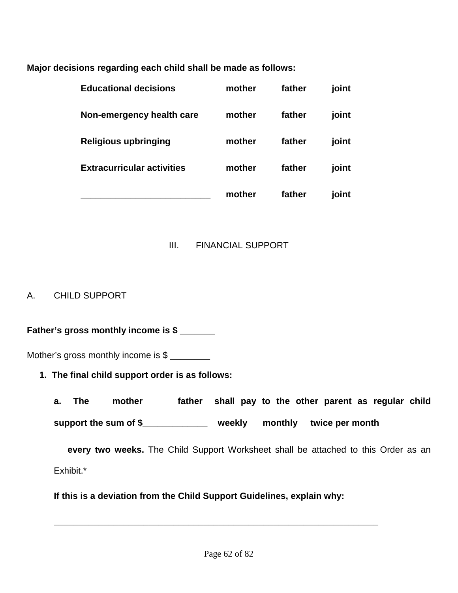**Major decisions regarding each child shall be made as follows:** 

| <b>Educational decisions</b>      | mother | father | joint |
|-----------------------------------|--------|--------|-------|
| Non-emergency health care         | mother | father | joint |
| <b>Religious upbringing</b>       | mother | father | joint |
| <b>Extracurricular activities</b> | mother | father | joint |
|                                   | mother | father | joint |

#### III. FINANCIAL SUPPORT

A. CHILD SUPPORT

**Father's gross monthly income is \$ \_\_\_\_\_\_\_**

Mother's gross monthly income is \$

- **1. The final child support order is as follows:**
	- **a. The mother father shall pay to the other parent as regular child**

**support the sum of \$\_\_\_\_\_\_\_\_\_\_\_\_\_ weekly monthly twice per month** 

 **every two weeks.** The Child Support Worksheet shall be attached to this Order as an Exhibit.\*

**If this is a deviation from the Child Support Guidelines, explain why:**

**\_\_\_\_\_\_\_\_\_\_\_\_\_\_\_\_\_\_\_\_\_\_\_\_\_\_\_\_\_\_\_\_\_\_\_\_\_\_\_\_\_\_\_\_\_\_\_\_\_\_\_\_\_\_\_\_\_\_\_\_\_\_\_\_\_**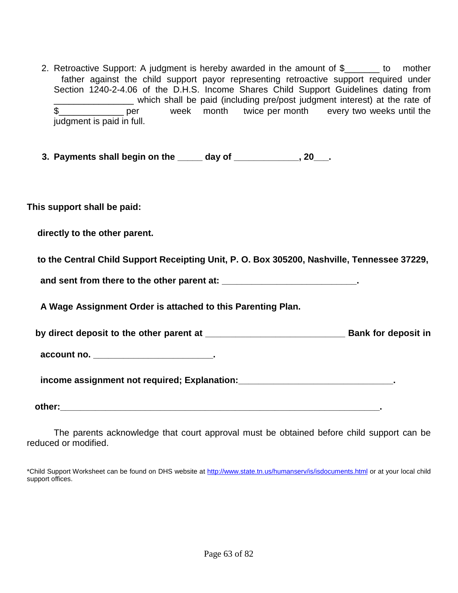2. Retroactive Support: A judgment is hereby awarded in the amount of \$\_\_\_\_\_\_\_ to mother father against the child support payor representing retroactive support required under Section 1240-2-4.06 of the D.H.S. Income Shares Child Support Guidelines dating from \_\_\_\_\_\_\_\_\_\_\_\_\_\_\_\_ which shall be paid (including pre/post judgment interest) at the rate of \$\_\_\_\_\_\_\_\_\_\_\_\_\_\_\_\_\_ per week month twice per month every two weeks until the judgment is paid in full.

 **3. Payments shall begin on the \_\_\_\_\_ day of \_\_\_\_\_\_\_\_\_\_\_\_\_, 20\_\_\_.** 

**This support shall be paid:** 

 **directly to the other parent.** 

 **to the Central Child Support Receipting Unit, P. O. Box 305200, Nashville, Tennessee 37229,** 

and sent from there to the other parent at: **with all and sent from there is** 

 **A Wage Assignment Order is attached to this Parenting Plan.**

 **by direct deposit to the other parent at \_\_\_\_\_\_\_\_\_\_\_\_\_\_\_\_\_\_\_\_\_\_\_\_\_\_\_\_ Bank for deposit in** 

**account no. \_\_\_\_\_\_\_\_\_\_\_\_\_\_\_\_\_\_\_\_\_\_\_\_.**

income assignment not required; Explanation: **with any contract of the system of the system of the system of the system of the system of the system of the system of the system of the system of the system of the system of t** 

**other:**  *other:*  *<b><i> other:*  $\mathbf{r} = \mathbf{r} \cdot \mathbf{r}$   $\mathbf{r} = \mathbf{r} \cdot \mathbf{r}$  $\mathbf{r} = \mathbf{r} \cdot \mathbf{r}$  $\mathbf{r} = \mathbf{r} \cdot \mathbf{r}$  $\mathbf{r} = \mathbf{r} \cdot \mathbf{r}$  $\mathbf{r} = \mathbf{r} \cdot \mathbf{r}$  $\mathbf{r} = \mathbf{r} \cdot \mathbf{r}$  *\mathbf{r} = \mathbf{r}* 

The parents acknowledge that court approval must be obtained before child support can be reduced or modified.

\*Child Support Worksheet can be found on DHS website at http://www.state.tn.us/humanserv/is/isdocuments.html or at your local child support offices.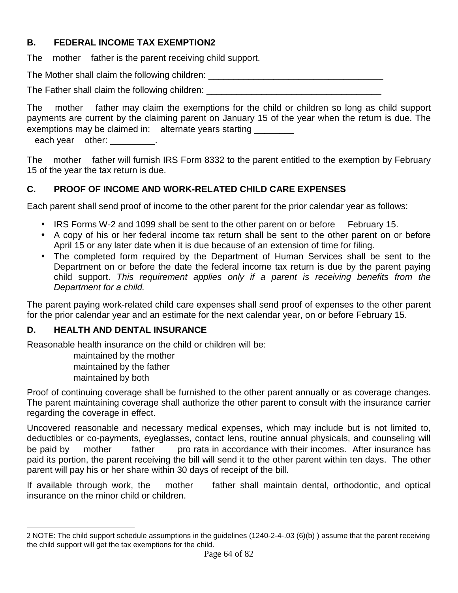#### **B. FEDERAL INCOME TAX EXEMPTION2**

The mother father is the parent receiving child support.

The Mother shall claim the following children:

The Father shall claim the following children:

The mother father may claim the exemptions for the child or children so long as child support payments are current by the claiming parent on January 15 of the year when the return is due. The exemptions may be claimed in: alternate years starting \_\_\_\_\_\_\_\_

each year other: The control of the control of the control of the control of the control of the control of the control of the control of the control of the control of the control of the control of the control of the contro

The mother father will furnish IRS Form 8332 to the parent entitled to the exemption by February 15 of the year the tax return is due.

#### **C. PROOF OF INCOME AND WORK-RELATED CHILD CARE EXPENSES**

Each parent shall send proof of income to the other parent for the prior calendar year as follows:

- IRS Forms W-2 and 1099 shall be sent to the other parent on or beforeFebruary 15.
- A copy of his or her federal income tax return shall be sent to the other parent on or before April 15 or any later date when it is due because of an extension of time for filing.
- The completed form required by the Department of Human Services shall be sent to the Department on or before the date the federal income tax return is due by the parent paying child support. This requirement applies only if a parent is receiving benefits from the Department for a child.

The parent paying work-related child care expenses shall send proof of expenses to the other parent for the prior calendar year and an estimate for the next calendar year, on or before February 15.

#### **D. HEALTH AND DENTAL INSURANCE**

Reasonable health insurance on the child or children will be:

maintained by the mother maintained by the father maintained by both

 $\overline{a}$ 

Proof of continuing coverage shall be furnished to the other parent annually or as coverage changes. The parent maintaining coverage shall authorize the other parent to consult with the insurance carrier regarding the coverage in effect.

Uncovered reasonable and necessary medical expenses, which may include but is not limited to, deductibles or co-payments, eyeglasses, contact lens, routine annual physicals, and counseling will be paid by mother father pro rata in accordance with their incomes. After insurance has paid its portion, the parent receiving the bill will send it to the other parent within ten days. The other parent will pay his or her share within 30 days of receipt of the bill.

If available through work, the mother father shall maintain dental, orthodontic, and optical insurance on the minor child or children.

<sup>2</sup> NOTE: The child support schedule assumptions in the guidelines (1240-2-4-.03 (6)(b) ) assume that the parent receiving the child support will get the tax exemptions for the child.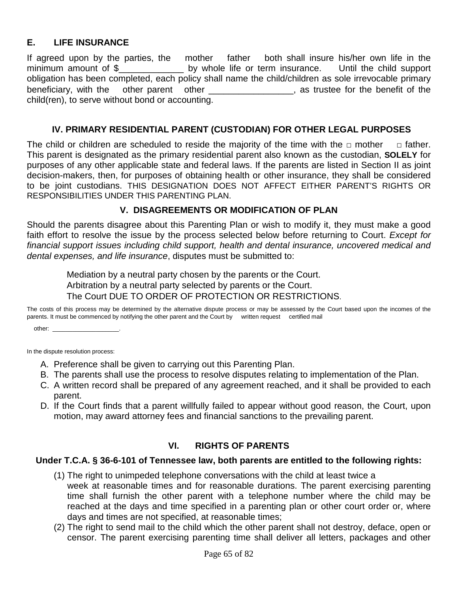#### **E. LIFE INSURANCE**

If agreed upon by the parties, the mother father both shall insure his/her own life in the minimum amount of \$ by whole life or term insurance. Until the child support obligation has been completed, each policy shall name the child/children as sole irrevocable primary beneficiary, with the other parent other **the set of the set of the benefit of the** benefit of the child(ren), to serve without bond or accounting.

#### **IV. PRIMARY RESIDENTIAL PARENT (CUSTODIAN) FOR OTHER LEGAL PURPOSES**

The child or children are scheduled to reside the majority of the time with the  $\Box$  mother  $\Box$  father. This parent is designated as the primary residential parent also known as the custodian, **SOLELY** for purposes of any other applicable state and federal laws. If the parents are listed in Section II as joint decision-makers, then, for purposes of obtaining health or other insurance, they shall be considered to be joint custodians. THIS DESIGNATION DOES NOT AFFECT EITHER PARENT'S RIGHTS OR RESPONSIBILITIES UNDER THIS PARENTING PLAN.

#### **V. DISAGREEMENTS OR MODIFICATION OF PLAN**

Should the parents disagree about this Parenting Plan or wish to modify it, they must make a good faith effort to resolve the issue by the process selected below before returning to Court. Except for financial support issues including child support, health and dental insurance, uncovered medical and dental expenses, and life insurance, disputes must be submitted to:

 Mediation by a neutral party chosen by the parents or the Court. Arbitration by a neutral party selected by parents or the Court. The Court DUE TO ORDER OF PROTECTION OR RESTRICTIONS.

The costs of this process may be determined by the alternative dispute process or may be assessed by the Court based upon the incomes of the parents. It must be commenced by notifying the other parent and the Court by written request certified mail

other:  $\overline{\phantom{a}}$ 

In the dispute resolution process:

- A. Preference shall be given to carrying out this Parenting Plan.
- B. The parents shall use the process to resolve disputes relating to implementation of the Plan.
- C. A written record shall be prepared of any agreement reached, and it shall be provided to each parent.
- D. If the Court finds that a parent willfully failed to appear without good reason, the Court, upon motion, may award attorney fees and financial sanctions to the prevailing parent.

#### **VI. RIGHTS OF PARENTS**

#### **Under T.C.A. § 36-6-101 of Tennessee law, both parents are entitled to the following rights:**

- (1) The right to unimpeded telephone conversations with the child at least twice a week at reasonable times and for reasonable durations. The parent exercising parenting time shall furnish the other parent with a telephone number where the child may be reached at the days and time specified in a parenting plan or other court order or, where days and times are not specified, at reasonable times;
- (2) The right to send mail to the child which the other parent shall not destroy, deface, open or censor. The parent exercising parenting time shall deliver all letters, packages and other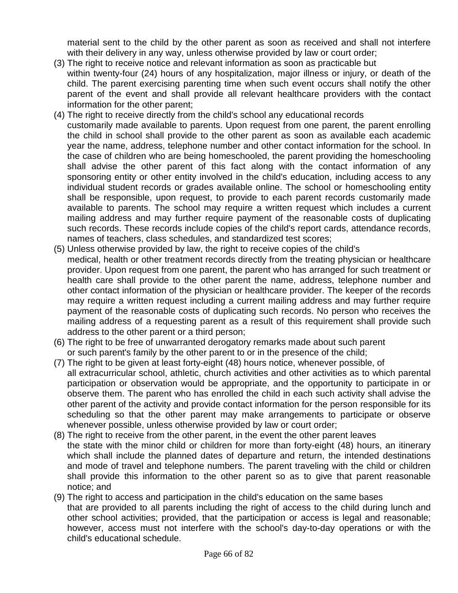material sent to the child by the other parent as soon as received and shall not interfere with their delivery in any way, unless otherwise provided by law or court order;

- (3) The right to receive notice and relevant information as soon as practicable but within twenty-four (24) hours of any hospitalization, major illness or injury, or death of the child. The parent exercising parenting time when such event occurs shall notify the other parent of the event and shall provide all relevant healthcare providers with the contact information for the other parent;
- (4) The right to receive directly from the child's school any educational records customarily made available to parents. Upon request from one parent, the parent enrolling the child in school shall provide to the other parent as soon as available each academic year the name, address, telephone number and other contact information for the school. In the case of children who are being homeschooled, the parent providing the homeschooling shall advise the other parent of this fact along with the contact information of any sponsoring entity or other entity involved in the child's education, including access to any individual student records or grades available online. The school or homeschooling entity shall be responsible, upon request, to provide to each parent records customarily made available to parents. The school may require a written request which includes a current mailing address and may further require payment of the reasonable costs of duplicating such records. These records include copies of the child's report cards, attendance records, names of teachers, class schedules, and standardized test scores;
- (5) Unless otherwise provided by law, the right to receive copies of the child's medical, health or other treatment records directly from the treating physician or healthcare provider. Upon request from one parent, the parent who has arranged for such treatment or health care shall provide to the other parent the name, address, telephone number and other contact information of the physician or healthcare provider. The keeper of the records may require a written request including a current mailing address and may further require payment of the reasonable costs of duplicating such records. No person who receives the mailing address of a requesting parent as a result of this requirement shall provide such address to the other parent or a third person;
- (6) The right to be free of unwarranted derogatory remarks made about such parent or such parent's family by the other parent to or in the presence of the child;
- (7) The right to be given at least forty-eight (48) hours notice, whenever possible, of all extracurricular school, athletic, church activities and other activities as to which parental participation or observation would be appropriate, and the opportunity to participate in or observe them. The parent who has enrolled the child in each such activity shall advise the other parent of the activity and provide contact information for the person responsible for its scheduling so that the other parent may make arrangements to participate or observe whenever possible, unless otherwise provided by law or court order;
- (8) The right to receive from the other parent, in the event the other parent leaves the state with the minor child or children for more than forty-eight (48) hours, an itinerary which shall include the planned dates of departure and return, the intended destinations and mode of travel and telephone numbers. The parent traveling with the child or children shall provide this information to the other parent so as to give that parent reasonable notice; and
- (9) The right to access and participation in the child's education on the same bases that are provided to all parents including the right of access to the child during lunch and other school activities; provided, that the participation or access is legal and reasonable; however, access must not interfere with the school's day-to-day operations or with the child's educational schedule.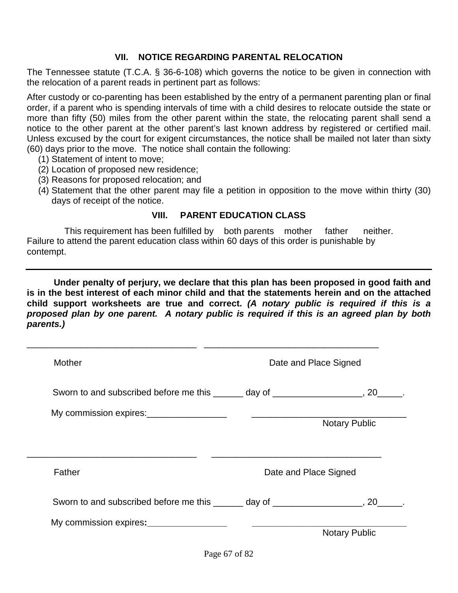#### **VII. NOTICE REGARDING PARENTAL RELOCATION**

The Tennessee statute (T.C.A. § 36-6-108) which governs the notice to be given in connection with the relocation of a parent reads in pertinent part as follows:

After custody or co-parenting has been established by the entry of a permanent parenting plan or final order, if a parent who is spending intervals of time with a child desires to relocate outside the state or more than fifty (50) miles from the other parent within the state, the relocating parent shall send a notice to the other parent at the other parent's last known address by registered or certified mail. Unless excused by the court for exigent circumstances, the notice shall be mailed not later than sixty (60) days prior to the move. The notice shall contain the following:

- (1) Statement of intent to move;
- (2) Location of proposed new residence;
- (3) Reasons for proposed relocation; and
- (4) Statement that the other parent may file a petition in opposition to the move within thirty (30) days of receipt of the notice.

#### **VIII. PARENT EDUCATION CLASS**

This requirement has been fulfilled by both parents mother father neither. Failure to attend the parent education class within 60 days of this order is punishable by contempt.

**Under penalty of perjury, we declare that this plan has been proposed in good faith and is in the best interest of each minor child and that the statements herein and on the attached child support worksheets are true and correct. (A notary public is required if this is a proposed plan by one parent. A notary public is required if this is an agreed plan by both parents.)** 

| Mother                                                                             | Date and Place Signed |                      |
|------------------------------------------------------------------------------------|-----------------------|----------------------|
| Sworn to and subscribed before me this ______ day of ___________________, 20_____. |                       |                      |
|                                                                                    |                       | <b>Notary Public</b> |
| Father                                                                             | Date and Place Signed |                      |
| Sworn to and subscribed before me this ______ day of ___________________, 20_____. |                       |                      |
|                                                                                    |                       | <b>Notary Public</b> |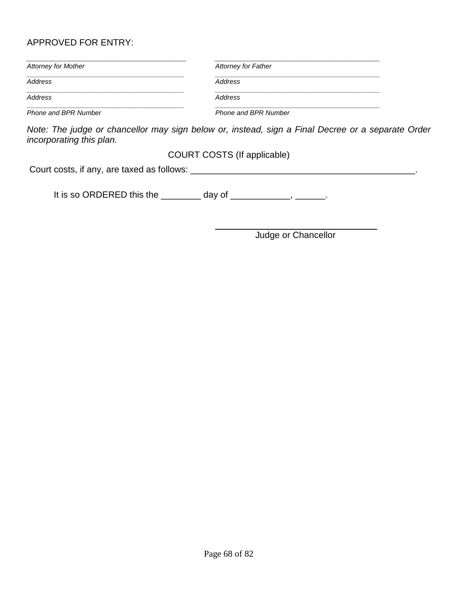#### APPROVED FOR ENTRY:

| <b>Attorney for Mother</b>  | <b>Attorney for Father</b>  |
|-----------------------------|-----------------------------|
| Address                     | Address                     |
| Address                     | Address                     |
| <b>Phone and BPR Number</b> | <b>Phone and BPR Number</b> |

Note: The judge or chancellor may sign below or, instead, sign a Final Decree or a separate Order incorporating this plan.

COURT COSTS (If applicable)

Court costs, if any, are taxed as follows: \_\_\_\_\_\_\_\_\_\_\_\_\_\_\_\_\_\_\_\_\_\_\_\_\_\_\_\_\_\_\_\_\_\_\_\_\_\_\_\_\_\_\_\_\_.

It is so ORDERED this the \_\_\_\_\_\_\_\_\_ day of \_\_\_\_\_\_\_\_\_\_\_, \_\_\_\_\_\_.

Judge or Chancellor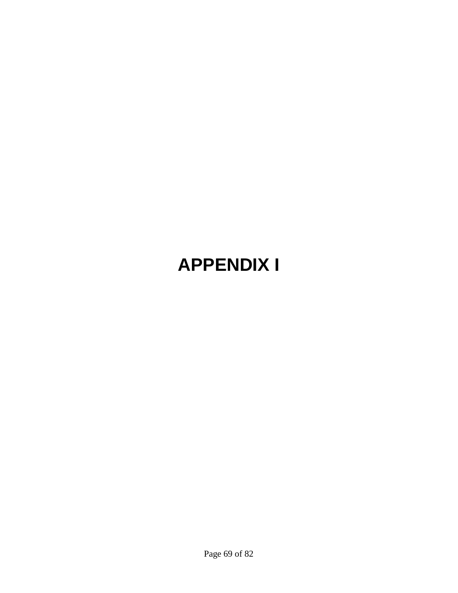# **APPENDIX I**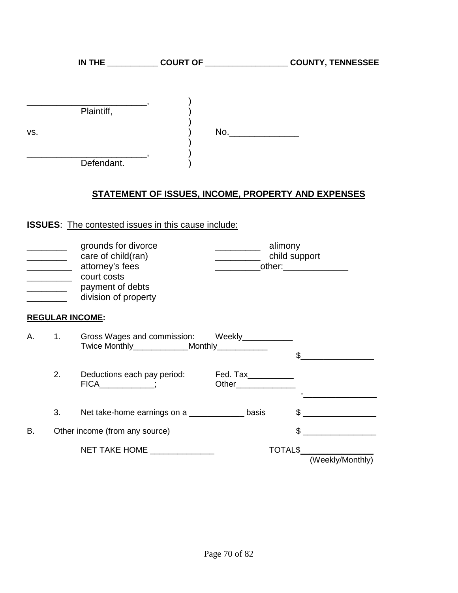|     |                                                                                                 |                                                                                                                         |                                                    | IN THE _____________ COURT OF ______________________ COUNTY, TENNESSEE |
|-----|-------------------------------------------------------------------------------------------------|-------------------------------------------------------------------------------------------------------------------------|----------------------------------------------------|------------------------------------------------------------------------|
| VS. |                                                                                                 | Plaintiff,<br>Defendant.                                                                                                |                                                    |                                                                        |
|     |                                                                                                 |                                                                                                                         |                                                    | <b>STATEMENT OF ISSUES, INCOME, PROPERTY AND EXPENSES</b>              |
|     |                                                                                                 | <b>ISSUES:</b> The contested issues in this cause include:                                                              |                                                    |                                                                        |
|     | $\overline{\phantom{a}}$ . The contract of $\overline{\phantom{a}}$<br>$\overline{\phantom{a}}$ | grounds for divorce<br>care of child(ran)<br>attorney's fees<br>court costs<br>payment of debts<br>division of property | ___________ alimony<br>_____________ child support | ____________other:________________                                     |
|     |                                                                                                 | <b>REGULAR INCOME:</b>                                                                                                  |                                                    |                                                                        |
| А.  | 1.                                                                                              | Gross Wages and commission: Weekly___________<br>Twice Monthly_______________Monthly__________                          |                                                    | $\mathbb{S}$                                                           |
|     | 2.                                                                                              | Deductions each pay period:<br>$FICA$ ;                                                                                 | Fed. Tax___________<br>Other_______________        |                                                                        |
|     | 3.                                                                                              | Net take-home earnings on a ______________ basis                                                                        |                                                    | \$                                                                     |
| В.  |                                                                                                 | Other income (from any source)                                                                                          |                                                    | \$                                                                     |
|     |                                                                                                 | NET TAKE HOME ________________                                                                                          |                                                    | TOTAL\$<br>(Weekly/Monthly)                                            |
|     |                                                                                                 |                                                                                                                         |                                                    |                                                                        |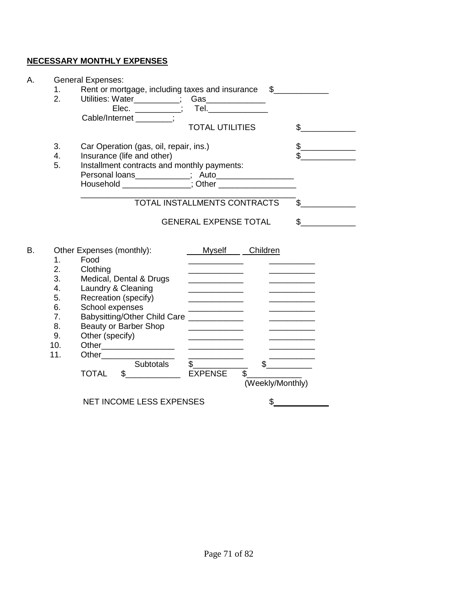#### **NECESSARY MONTHLY EXPENSES**

| Α. | 1.<br>2.                                                         | <b>General Expenses:</b><br>Rent or mortgage, including taxes and insurance \$_________<br>Utilities: Water________; Gas____________<br>Elec. __________;  Tel._____________<br>Cable/Internet ;                                                                                                                           | <b>TOTAL UTILITIES</b>                                                                             |                                  | \$                                                |
|----|------------------------------------------------------------------|----------------------------------------------------------------------------------------------------------------------------------------------------------------------------------------------------------------------------------------------------------------------------------------------------------------------------|----------------------------------------------------------------------------------------------------|----------------------------------|---------------------------------------------------|
|    | 3.<br>4.<br>5.                                                   | Car Operation (gas, oil, repair, ins.)<br>Insurance (life and other)<br>Installment contracts and monthly payments:<br>Personal loans____________; Auto___________________<br>Household ______________; Other __________________                                                                                           | TOTAL INSTALLMENTS CONTRACTS                                                                       |                                  | \$<br>\$<br>\$                                    |
|    |                                                                  |                                                                                                                                                                                                                                                                                                                            | <b>GENERAL EXPENSE TOTAL</b>                                                                       |                                  | \$                                                |
| B. | 1.<br>2.<br>3.<br>4.<br>5.<br>6.<br>7.<br>8.<br>9.<br>10.<br>11. | Other Expenses (monthly):<br>Food<br>Clothing<br>Medical, Dental & Drugs<br>Laundry & Cleaning<br>Recreation (specify)<br>School expenses<br>Babysitting/Other Child Care _____________<br>Beauty or Barber Shop<br>Other (specify)<br>Other_____________________<br>Other_________<br>Subtotals<br>$\sim$<br><b>TOTAL</b> | Myself Children<br>the control of the control of the control of<br>$\frac{1}{2}$<br><b>EXPENSE</b> | $\sim$<br>\$<br>(Weekly/Monthly) | <u> 1989 - Johann Barnett, fransk politiker (</u> |
|    |                                                                  | <b>NET INCOME LESS EXPENSES</b>                                                                                                                                                                                                                                                                                            |                                                                                                    | \$                               |                                                   |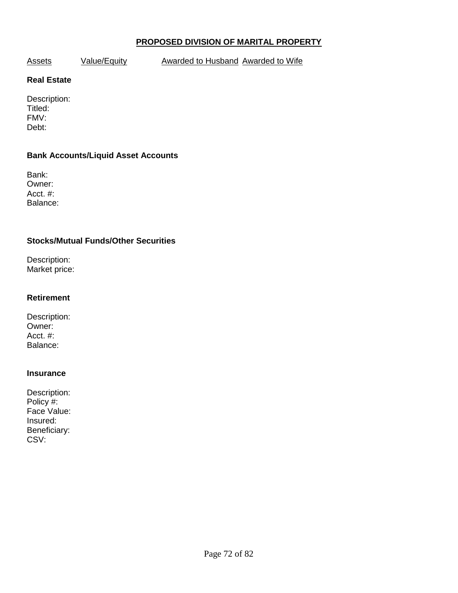#### **PROPOSED DIVISION OF MARITAL PROPERTY**

Assets Value/Equity Awarded to Husband Awarded to Wife

#### **Real Estate**

Description: Titled: FMV: Debt:

#### **Bank Accounts/Liquid Asset Accounts**

Bank: Owner: Acct. #: Balance:

#### **Stocks/Mutual Funds/Other Securities**

Description: Market price:

#### **Retirement**

| Description: |  |
|--------------|--|
| Owner:       |  |
| Acct. $#$ :  |  |
| Balance:     |  |

#### **Insurance**

| Description: |
|--------------|
| Policy #:    |
| Face Value:  |
| Insured:     |
| Beneficiary: |
| CSV:         |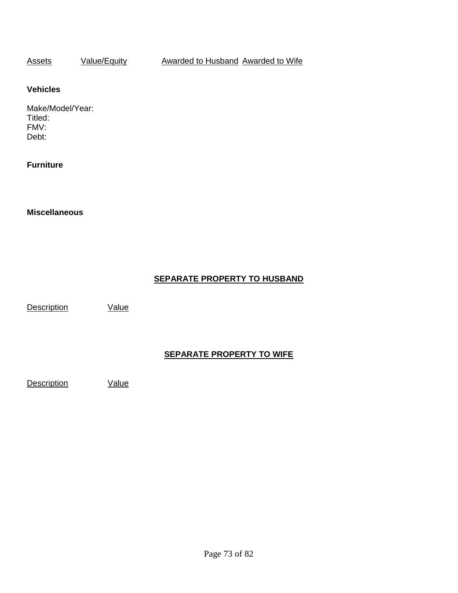## Assets Value/Equity Awarded to Husband Awarded to Wife

#### **Vehicles**

Make/Model/Year: Titled: FMV: Debt:

#### **Furniture**

**Miscellaneous** 

## **SEPARATE PROPERTY TO HUSBAND**

Description Value

## **SEPARATE PROPERTY TO WIFE**

Description Value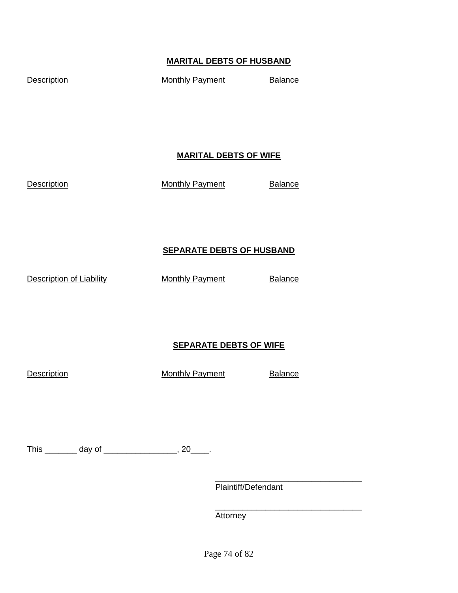### **MARITAL DEBTS OF HUSBAND**

Description Monthly Payment Balance

### **MARITAL DEBTS OF WIFE**

Description **Monthly Payment** Balance

### **SEPARATE DEBTS OF HUSBAND**

Description of Liability **Monthly Payment** Balance

### **SEPARATE DEBTS OF WIFE**

Description **Monthly Payment** Balance

This \_\_\_\_\_\_\_ day of \_\_\_\_\_\_\_\_\_\_\_\_\_\_, 20\_\_\_\_.

\_\_\_\_\_\_\_\_\_\_\_\_\_\_\_\_\_\_\_\_\_\_\_\_\_\_\_\_\_\_\_\_ Plaintiff/Defendant

\_\_\_\_\_\_\_\_\_\_\_\_\_\_\_\_\_\_\_\_\_\_\_\_\_\_\_\_\_\_\_\_ Attorney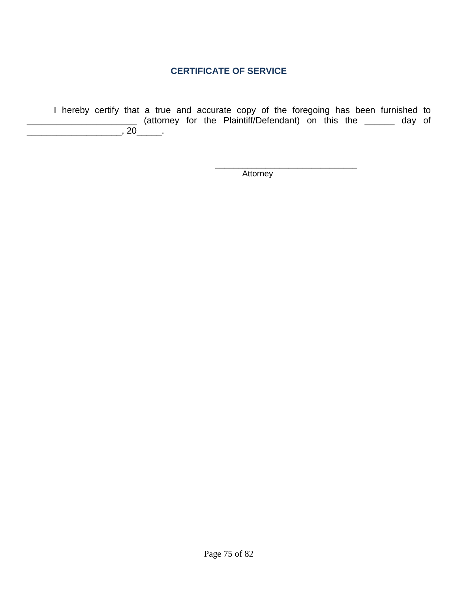## **CERTIFICATE OF SERVICE**

I hereby certify that a true and accurate copy of the foregoing has been furnished to \_\_\_\_\_\_\_\_\_\_\_\_\_\_\_\_\_\_\_\_\_\_ (attorney for the Plaintiff/Defendant) on this the \_\_\_\_\_\_ day of \_\_\_\_\_\_\_\_\_\_\_\_\_\_\_\_\_\_\_, 20\_\_\_\_\_.

> \_\_\_\_\_\_\_\_\_\_\_\_\_\_\_\_\_\_\_\_\_\_\_\_\_\_\_\_\_\_\_ **Attorney**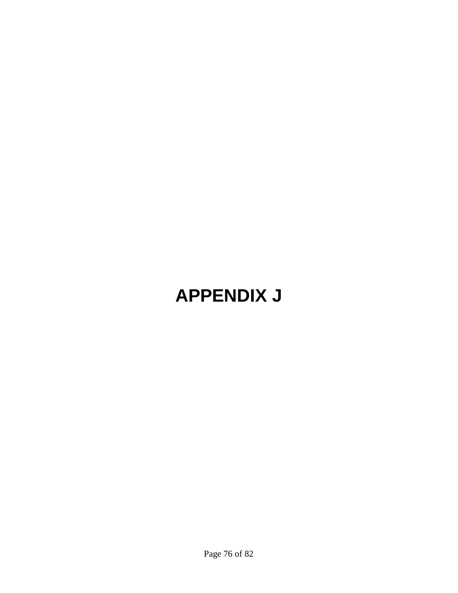# **APPENDIX J**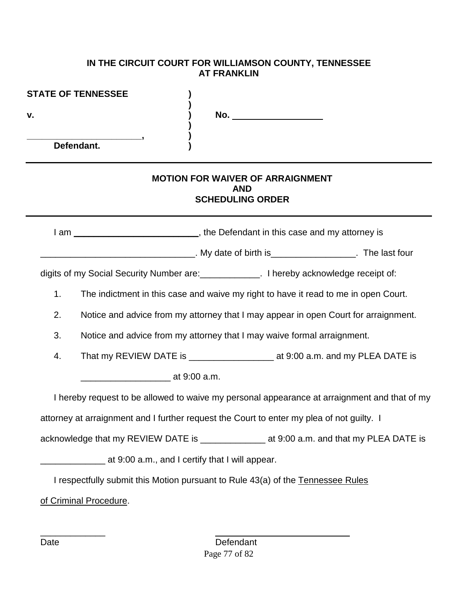## **IN THE CIRCUIT COURT FOR WILLIAMSON COUNTY, TENNESSEE AT FRANKLIN**

| <b>STATE OF TENNESSEE</b>                                                                       |                                                                                                    |  |  |  |
|-------------------------------------------------------------------------------------------------|----------------------------------------------------------------------------------------------------|--|--|--|
| v.                                                                                              |                                                                                                    |  |  |  |
| Defendant.                                                                                      |                                                                                                    |  |  |  |
| <b>MOTION FOR WAIVER OF ARRAIGNMENT</b><br>AND<br><b>SCHEDULING ORDER</b>                       |                                                                                                    |  |  |  |
| I am __________________________________, the Defendant in this case and my attorney is          |                                                                                                    |  |  |  |
|                                                                                                 | _____________________________________. My date of birth is_____________________. The last four     |  |  |  |
|                                                                                                 | digits of my Social Security Number are:<br><u>[</u> [[[Correct], I hereby acknowledge receipt of: |  |  |  |
| 1.                                                                                              | The indictment in this case and waive my right to have it read to me in open Court.                |  |  |  |
| 2.                                                                                              | Notice and advice from my attorney that I may appear in open Court for arraignment.                |  |  |  |
| 3.                                                                                              | Notice and advice from my attorney that I may waive formal arraignment.                            |  |  |  |
| 4.                                                                                              | That my REVIEW DATE is _________________________ at 9:00 a.m. and my PLEA DATE is                  |  |  |  |
|                                                                                                 | at 9:00 a.m.                                                                                       |  |  |  |
|                                                                                                 | I hereby request to be allowed to waive my personal appearance at arraignment and that of my       |  |  |  |
|                                                                                                 | attorney at arraignment and I further request the Court to enter my plea of not guilty. I          |  |  |  |
| acknowledge that my REVIEW DATE is ______________________ at 9:00 a.m. and that my PLEA DATE is |                                                                                                    |  |  |  |
|                                                                                                 | at 9:00 a.m., and I certify that I will appear.                                                    |  |  |  |
|                                                                                                 | I respectfully submit this Motion pursuant to Rule 43(a) of the Tennessee Rules                    |  |  |  |
| of Criminal Procedure.                                                                          |                                                                                                    |  |  |  |

\_\_\_\_\_\_\_\_\_\_\_\_\_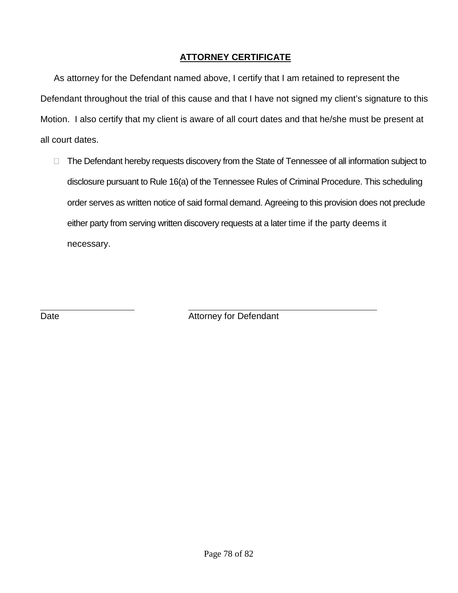## **ATTORNEY CERTIFICATE**

As attorney for the Defendant named above, I certify that I am retained to represent the Defendant throughout the trial of this cause and that I have not signed my client's signature to this Motion. I also certify that my client is aware of all court dates and that he/she must be present at all court dates.

 The Defendant hereby requests discovery from the State of Tennessee of all information subject to disclosure pursuant to Rule 16(a) of the Tennessee Rules of Criminal Procedure. This scheduling order serves as written notice of said formal demand. Agreeing to this provision does not preclude either party from serving written discovery requests at a later time if the party deems it necessary.

 $\overline{a}$ 

Date **Date Attorney for Defendant**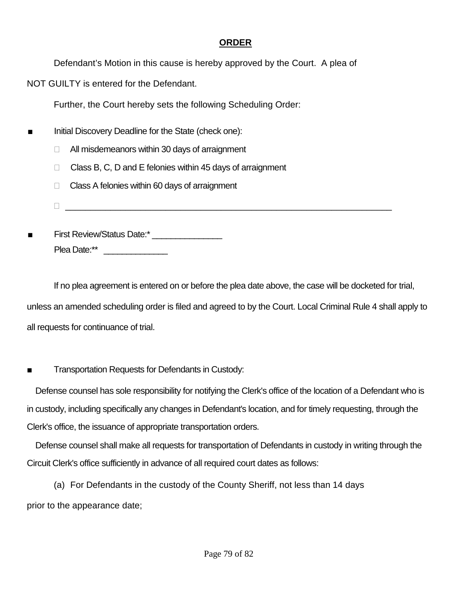## **ORDER**

Defendant's Motion in this cause is hereby approved by the Court. A plea of

NOT GUILTY is entered for the Defendant.

Further, the Court hereby sets the following Scheduling Order:

Initial Discovery Deadline for the State (check one):

All misdemeanors within 30 days of arraignment

Class B, C, D and E felonies within 45 days of arraignment

Class A felonies within 60 days of arraignment

■ First Review/Status Date:\* \_\_\_\_\_\_\_\_\_\_\_\_\_\_\_ Plea Date: \*\*

If no plea agreement is entered on or before the plea date above, the case will be docketed for trial, unless an amended scheduling order is filed and agreed to by the Court. Local Criminal Rule 4 shall apply to all requests for continuance of trial.

 $\overline{\phantom{a}}$  ,  $\overline{\phantom{a}}$  ,  $\overline{\phantom{a}}$  ,  $\overline{\phantom{a}}$  ,  $\overline{\phantom{a}}$  ,  $\overline{\phantom{a}}$  ,  $\overline{\phantom{a}}$  ,  $\overline{\phantom{a}}$  ,  $\overline{\phantom{a}}$  ,  $\overline{\phantom{a}}$  ,  $\overline{\phantom{a}}$  ,  $\overline{\phantom{a}}$  ,  $\overline{\phantom{a}}$  ,  $\overline{\phantom{a}}$  ,  $\overline{\phantom{a}}$  ,  $\overline{\phantom{a}}$ 

Transportation Requests for Defendants in Custody:

Defense counsel has sole responsibility for notifying the Clerk's office of the location of a Defendant who is in custody, including specifically any changes in Defendant's location, and for timely requesting, through the Clerk's office, the issuance of appropriate transportation orders.

Defense counsel shall make all requests for transportation of Defendants in custody in writing through the Circuit Clerk's office sufficiently in advance of all required court dates as follows:

(a) For Defendants in the custody of the County Sheriff, not less than 14 days

prior to the appearance date;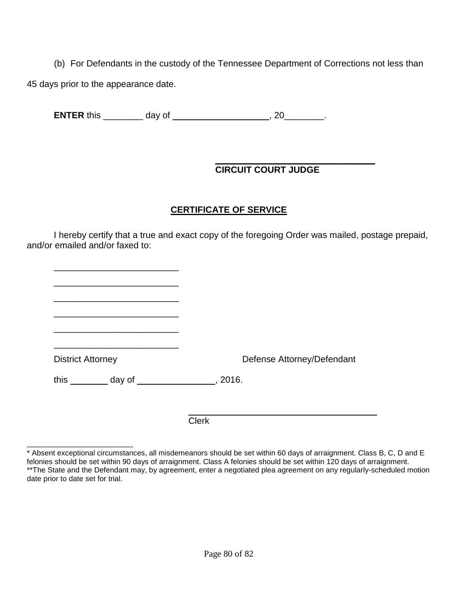(b) For Defendants in the custody of the Tennessee Department of Corrections not less than 45 days prior to the appearance date.

**ENTER** this \_\_\_\_\_\_\_\_ day of , 20\_\_\_\_\_\_\_\_.

#### **\_\_\_\_\_\_\_\_\_\_\_\_\_\_\_\_\_\_\_\_\_\_\_\_\_\_\_\_\_\_\_\_ CIRCUIT COURT JUDGE**

## **CERTIFICATE OF SERVICE**

 I hereby certify that a true and exact copy of the foregoing Order was mailed, postage prepaid, and/or emailed and/or faxed to:

| Defense Attorney/Defendant |
|----------------------------|
|                            |

**Clerk** 

\_\_\_\_\_\_\_\_\_\_\_\_\_\_\_\_\_\_\_\_\_\_\_\_\_

<sup>\*</sup> Absent exceptional circumstances, all misdemeanors should be set within 60 days of arraignment. Class B, C, D and E felonies should be set within 90 days of arraignment. Class A felonies should be set within 120 days of arraignment. \*\*The State and the Defendant may, by agreement, enter a negotiated plea agreement on any regularly-scheduled motion date prior to date set for trial.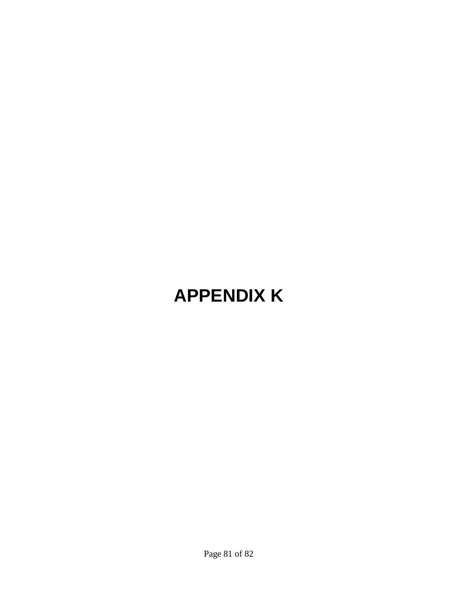## **APPENDIX K**